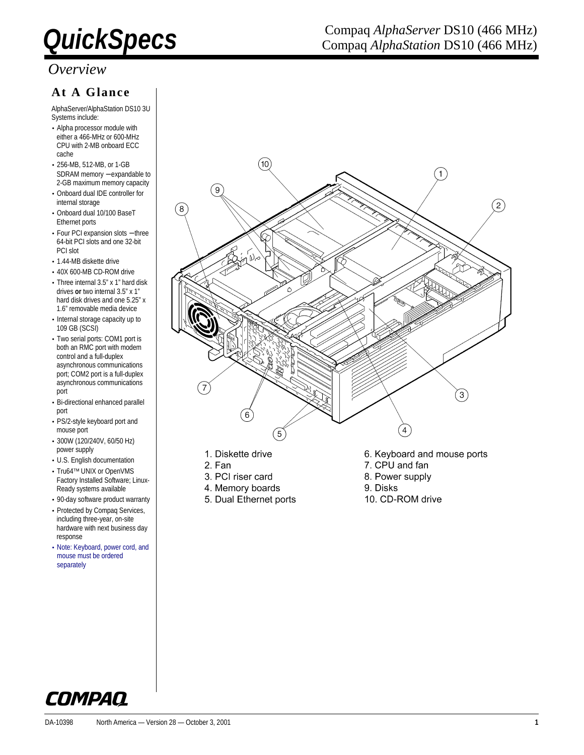### *Overview*

### **At A Glance**

AlphaServer/AlphaStation DS10 3U Systems include:

- Alpha processor module with either a 466-MHz or 600-MHz CPU with 2-MB onboard ECC cache
- 256-MB, 512-MB, or 1-GB SDRAM memory – expandable to 2-GB maximum memory capacity
- Onboard dual IDE controller for internal storage
- Onboard dual 10/100 BaseT Ethernet ports
- Four PCI expansion slots − three 64-bit PCI slots and one 32-bit PCI slot
- 1.44-MB diskette drive
- 40X 600-MB CD-ROM drive
- Three internal 3.5" x 1" hard disk drives **or** two internal 3.5" x 1" hard disk drives and one 5.25" x 1.6" removable media device
- Internal storage capacity up to 109 GB (SCSI)
- Two serial ports: COM1 port is both an RMC port with modem control and a full-duplex asynchronous communications port; COM2 port is a full-duplex asynchronous communications port
- Bi-directional enhanced parallel port
- PS/2-style keyboard port and mouse port
- 300W (120/240V, 60/50 Hz) power supply
- U.S. English documentation
- Tru64™ UNIX or OpenVMS Factory Installed Software; Linux-Ready systems available
- 90-day software product warranty • Protected by Compaq Services, including three-year, on-site hardware with next business day response
- Note: Keyboard, power cord, and mouse must be ordered separately



- 1. Diskette drive
- 2. Fan
- 3. PCI riser card
- 4. Memory boards
- 5. Dual Ethernet ports
- 6. Keyboard and mouse ports
- 7. CPU and fan
- 8. Power supply
- 9. Disks
- 10. CD-ROM drive



### **QuickSpecs** Compaq *AlphaServer* DS10 (466 MHz)<br>Compaq *AlphaStation* DS10 (466 MHz) Compaq *AlphaStation* DS10 (466 MHz)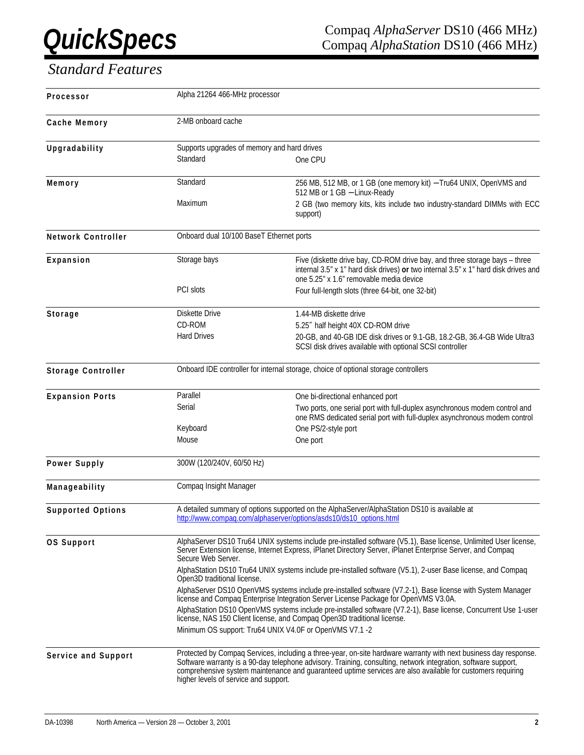# *Standard Features*

| Processor                 | Alpha 21264 466-MHz processor               |                                                                                                                                                                                                                                                                                                                                                  |
|---------------------------|---------------------------------------------|--------------------------------------------------------------------------------------------------------------------------------------------------------------------------------------------------------------------------------------------------------------------------------------------------------------------------------------------------|
| Cache Memory              | 2-MB onboard cache                          |                                                                                                                                                                                                                                                                                                                                                  |
| Upgradability             | Supports upgrades of memory and hard drives |                                                                                                                                                                                                                                                                                                                                                  |
|                           | Standard                                    | One CPU                                                                                                                                                                                                                                                                                                                                          |
| Memory                    | Standard                                    | 256 MB, 512 MB, or 1 GB (one memory kit) - Tru64 UNIX, OpenVMS and<br>512 MB or 1 GB - Linux-Ready                                                                                                                                                                                                                                               |
|                           | Maximum                                     | 2 GB (two memory kits, kits include two industry-standard DIMMs with ECC<br>support)                                                                                                                                                                                                                                                             |
| <b>Network Controller</b> | Onboard dual 10/100 BaseT Ethernet ports    |                                                                                                                                                                                                                                                                                                                                                  |
| Expansion                 | Storage bays                                | Five (diskette drive bay, CD-ROM drive bay, and three storage bays - three<br>internal 3.5" x 1" hard disk drives) or two internal 3.5" x 1" hard disk drives and<br>one 5.25" x 1.6" removable media device                                                                                                                                     |
|                           | PCI slots                                   | Four full-length slots (three 64-bit, one 32-bit)                                                                                                                                                                                                                                                                                                |
| <b>Storage</b>            | Diskette Drive                              | 1.44-MB diskette drive                                                                                                                                                                                                                                                                                                                           |
|                           | CD-ROM                                      | 5.25" half height 40X CD-ROM drive                                                                                                                                                                                                                                                                                                               |
|                           | <b>Hard Drives</b>                          | 20-GB, and 40-GB IDE disk drives or 9.1-GB, 18.2-GB, 36.4-GB Wide Ultra3<br>SCSI disk drives available with optional SCSI controller                                                                                                                                                                                                             |
| <b>Storage Controller</b> |                                             | Onboard IDE controller for internal storage, choice of optional storage controllers                                                                                                                                                                                                                                                              |
| <b>Expansion Ports</b>    | Parallel                                    | One bi-directional enhanced port                                                                                                                                                                                                                                                                                                                 |
|                           | Serial                                      | Two ports, one serial port with full-duplex asynchronous modem control and<br>one RMS dedicated serial port with full-duplex asynchronous modem control                                                                                                                                                                                          |
|                           | Keyboard                                    | One PS/2-style port                                                                                                                                                                                                                                                                                                                              |
|                           | Mouse                                       | One port                                                                                                                                                                                                                                                                                                                                         |
| Power Supply              | 300W (120/240V, 60/50 Hz)                   |                                                                                                                                                                                                                                                                                                                                                  |
| Manageability             | Compaq Insight Manager                      |                                                                                                                                                                                                                                                                                                                                                  |
| <b>Supported Options</b>  |                                             | A detailed summary of options supported on the AlphaServer/AlphaStation DS10 is available at<br>http://www.compaq.com/alphaserver/options/asds10/ds10_options.html                                                                                                                                                                               |
| <b>OS Support</b>         | Secure Web Server.                          | AlphaServer DS10 Tru64 UNIX systems include pre-installed software (V5.1), Base license, Unlimited User license,<br>Server Extension license, Internet Express, iPlanet Directory Server, iPlanet Enterprise Server, and Compaq                                                                                                                  |
|                           | Open3D traditional license.                 | AlphaStation DS10 Tru64 UNIX systems include pre-installed software (V5.1), 2-user Base license, and Compaq                                                                                                                                                                                                                                      |
|                           |                                             | AlphaServer DS10 OpenVMS systems include pre-installed software (V7.2-1), Base license with System Manager<br>license and Compag Enterprise Integration Server License Package for OpenVMS V3.0A.                                                                                                                                                |
|                           |                                             | AlphaStation DS10 OpenVMS systems include pre-installed software (V7.2-1), Base license, Concurrent Use 1-user<br>license, NAS 150 Client license, and Compag Open3D traditional license.                                                                                                                                                        |
|                           |                                             | Minimum OS support: Tru64 UNIX V4.0F or OpenVMS V7.1 -2                                                                                                                                                                                                                                                                                          |
| Service and Support       | higher levels of service and support.       | Protected by Compaq Services, including a three-year, on-site hardware warranty with next business day response.<br>Software warranty is a 90-day telephone advisory. Training, consulting, network integration, software support,<br>comprehensive system maintenance and guaranteed uptime services are also available for customers requiring |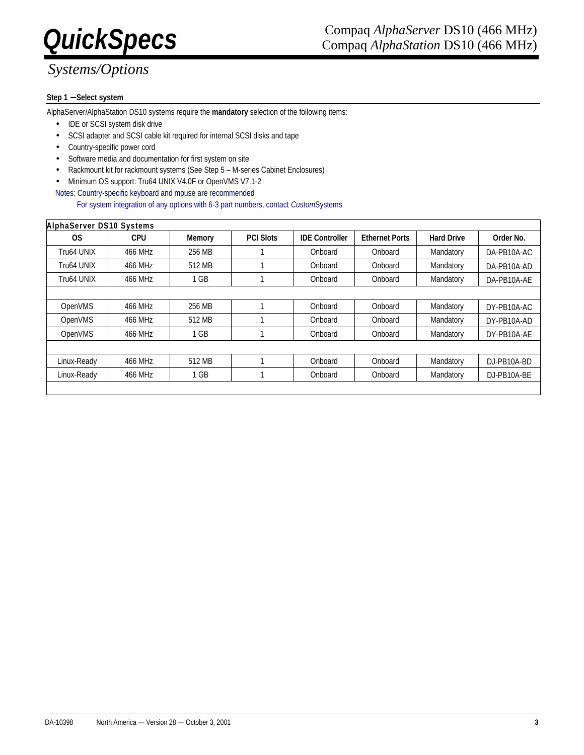# *Systems/Options*

### **Step 1** − **Select system**

AlphaServer/AlphaStation DS10 systems require the **mandatory** selection of the following items:

- IDE or SCSI system disk drive
- SCSI adapter and SCSI cable kit required for internal SCSI disks and tape
- Country-specific power cord
- Software media and documentation for first system on site
- Rackmount kit for rackmount systems (See Step 5 M-series Cabinet Enclosures)
- Minimum OS support: Tru64 UNIX V4.0F or OpenVMS V7.1-2
- Notes: Country-specific keyboard and mouse are recommended

For system integration of any options with 6-3 part numbers, contact *Custom*Systems

| <b>AlphaServer DS10 Systems</b> |            |               |                  |                       |                       |                   |              |
|---------------------------------|------------|---------------|------------------|-----------------------|-----------------------|-------------------|--------------|
| <b>OS</b>                       | <b>CPU</b> | <b>Memory</b> | <b>PCI Slots</b> | <b>IDE Controller</b> | <b>Ethernet Ports</b> | <b>Hard Drive</b> | Order No.    |
| Tru64 UNIX                      | 466 MHz    | 256 MB        |                  | Onboard               | Onboard               | Mandatory         | DA-PB10A-AC  |
| Tru64 UNIX                      | 466 MHz    | 512 MB        |                  | Onboard               | Onboard               | Mandatory         | DA-PB10A-AD  |
| Tru64 UNIX                      | 466 MHz    | 1 GB          |                  | Onboard               | Onboard               | Mandatory         | DA-PB10A-AE  |
|                                 |            |               |                  |                       |                       |                   |              |
| OpenVMS                         | 466 MHz    | 256 MB        |                  | Onboard               | Onboard               | Mandatory         | DY-PB10A-AC  |
| OpenVMS                         | 466 MHz    | 512 MB        |                  | Onboard               | Onboard               | Mandatory         | DY-PB10A-AD  |
| OpenVMS                         | 466 MHz    | $1$ GB        |                  | Onboard               | Onboard               | Mandatory         | DY-PB10A-AE  |
|                                 |            |               |                  |                       |                       |                   |              |
| Linux-Ready                     | 466 MHz    | 512 MB        |                  | Onboard               | Onboard               | Mandatory         | D.J-PB10A-BD |
| Linux-Ready                     | 466 MHz    | 1 GB          |                  | Onboard               | Onboard               | Mandatory         | D.J-PB10A-BE |
|                                 |            |               |                  |                       |                       |                   |              |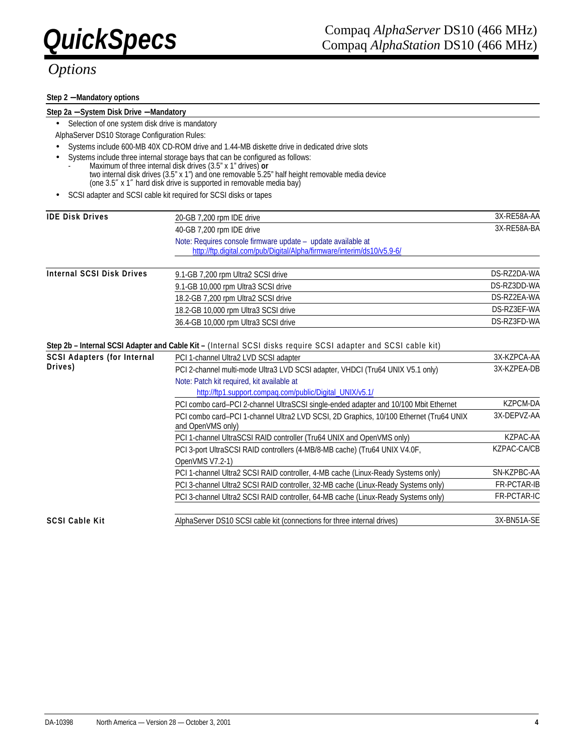#### **Step 2** − **Mandatory options**

#### **Step 2a** − **System Disk Drive** − **Mandatory**

• Selection of one system disk drive is mandatory

AlphaServer DS10 Storage Configuration Rules:

- Systems include 600-MB 40X CD-ROM drive and 1.44-MB diskette drive in dedicated drive slots
- Systems include three internal storage bays that can be configured as follows:
- Maximum of three internal disk drives (3.5" x 1" drives) **or** two internal disk drives (3.5" x 1") and one removable 5.25" half height removable media device (one 3.5″ x 1″ hard disk drive is supported in removable media bay)
- SCSI adapter and SCSI cable kit required for SCSI disks or tapes

| <b>IDE Disk Drives</b>             | 20-GB 7,200 rpm IDE drive                                                                                     | 3X-RE58A-AA        |
|------------------------------------|---------------------------------------------------------------------------------------------------------------|--------------------|
|                                    | 40-GB 7,200 rpm IDE drive                                                                                     | 3X-RE58A-BA        |
|                                    | Note: Requires console firmware update - update available at                                                  |                    |
|                                    | http://ftp.digital.com/pub/Digital/Alpha/firmware/interim/ds10/v5.9-6/                                        |                    |
| <b>Internal SCSI Disk Drives</b>   | 9.1-GB 7,200 rpm Ultra2 SCSI drive                                                                            | DS-RZ2DA-WA        |
|                                    | 9.1-GB 10,000 rpm Ultra3 SCSI drive                                                                           | DS-RZ3DD-WA        |
|                                    | 18.2-GB 7,200 rpm Ultra2 SCSI drive                                                                           | DS-RZ2EA-WA        |
|                                    | 18.2-GB 10,000 rpm Ultra3 SCSI drive                                                                          | DS-RZ3EF-WA        |
|                                    | 36.4-GB 10,000 rpm Ultra3 SCSI drive                                                                          | DS-RZ3FD-WA        |
|                                    |                                                                                                               |                    |
|                                    | Step 2b - Internal SCSI Adapter and Cable Kit - (Internal SCSI disks require SCSI adapter and SCSI cable kit) |                    |
| <b>SCSI Adapters (for Internal</b> | PCI 1-channel Ultra2 LVD SCSI adapter                                                                         | 3X-KZPCA-AA        |
| Drives)                            | PCI 2-channel multi-mode Ultra3 LVD SCSI adapter, VHDCI (Tru64 UNIX V5.1 only)                                | 3X-KZPEA-DB        |
|                                    | Note: Patch kit required, kit available at                                                                    |                    |
|                                    | http://ftp1.support.compag.com/public/Digital UNIX/v5.1/                                                      |                    |
|                                    | PCI combo card-PCI 2-channel UltraSCSI single-ended adapter and 10/100 Mbit Ethernet                          | <b>KZPCM-DA</b>    |
|                                    | PCI combo card-PCI 1-channel Ultra2 LVD SCSI, 2D Graphics, 10/100 Ethernet (Tru64 UNIX<br>and OpenVMS only)   | 3X-DEPVZ-AA        |
|                                    | PCI 1-channel UltraSCSI RAID controller (Tru64 UNIX and OpenVMS only)                                         | KZPAC-AA           |
|                                    | PCI 3-port UltraSCSI RAID controllers (4-MB/8-MB cache) (Tru64 UNIX V4.0F,                                    | <b>KZPAC-CA/CB</b> |
|                                    | OpenVMS V7.2-1)                                                                                               |                    |
|                                    | PCI 1-channel Ultra2 SCSI RAID controller, 4-MB cache (Linux-Ready Systems only)                              | SN-KZPBC-AA        |
|                                    | PCI 3-channel Ultra2 SCSI RAID controller, 32-MB cache (Linux-Ready Systems only)                             | <b>FR-PCTAR-IB</b> |
|                                    | PCI 3-channel Ultra2 SCSI RAID controller, 64-MB cache (Linux-Ready Systems only)                             | <b>FR-PCTAR-IC</b> |
| <b>SCSI Cable Kit</b>              | AlphaServer DS10 SCSI cable kit (connections for three internal drives)                                       | 3X-BN51A-SE        |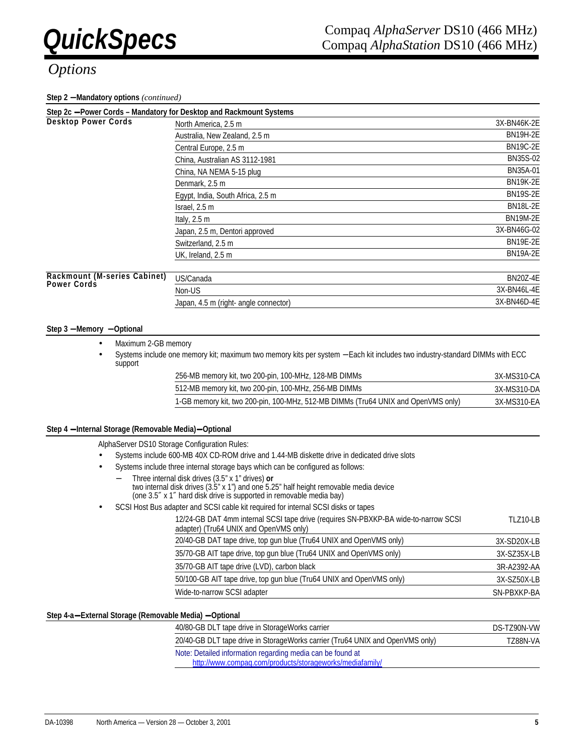#### **Step 2** − **Mandatory options** *(continued)*

|                              | Step 2c - Power Cords - Mandatory for Desktop and Rackmount Systems |                 |
|------------------------------|---------------------------------------------------------------------|-----------------|
| <b>Desktop Power Cords</b>   | North America, 2.5 m                                                | 3X-BN46K-2E     |
|                              | Australia, New Zealand, 2.5 m                                       | <b>BN19H-2E</b> |
|                              | Central Europe, 2.5 m                                               | <b>BN19C-2E</b> |
|                              | China, Australian AS 3112-1981                                      | <b>BN35S-02</b> |
|                              | China, NA NEMA 5-15 plug                                            | BN35A-01        |
|                              | Denmark, 2.5 m                                                      | <b>BN19K-2E</b> |
|                              | Egypt, India, South Africa, 2.5 m                                   | <b>BN19S-2E</b> |
|                              | Israel, 2.5 m                                                       | <b>BN18L-2E</b> |
|                              | Italy, $2.5 \text{ m}$                                              | <b>BN19M-2E</b> |
|                              | Japan, 2.5 m, Dentori approved                                      | 3X-BN46G-02     |
|                              | Switzerland, 2.5 m                                                  | <b>BN19E-2E</b> |
|                              | UK, Ireland, 2.5 m                                                  | <b>BN19A-2E</b> |
| Rackmount (M-series Cabinet) |                                                                     | <b>BN20Z-4E</b> |
| <b>Power Cords</b>           | US/Canada                                                           |                 |
|                              | Non-US                                                              | 3X-BN46L-4E     |
|                              | Japan, 4.5 m (right- angle connector)                               | 3X-BN46D-4E     |

#### **Step 3** − **Memory** − **Optional**

- Maximum 2-GB memory
- Systems include one memory kit; maximum two memory kits per system − Each kit includes two industry-standard DIMMs with ECC support

| 256-MB memory kit, two 200-pin, 100-MHz, 128-MB DIMMs                             | 3X-MS310-CA |
|-----------------------------------------------------------------------------------|-------------|
| 512-MB memory kit, two 200-pin, 100-MHz, 256-MB DIMMs                             | 3X-MS310-DA |
| 1-GB memory kit, two 200-pin, 100-MHz, 512-MB DIMMs (Tru64 UNIX and OpenVMS only) | 3X-MS310-EA |

#### **Step 4** − **Internal Storage (Removable Media)**− **Optional**

AlphaServer DS10 Storage Configuration Rules:

- Systems include 600-MB 40X CD-ROM drive and 1.44-MB diskette drive in dedicated drive slots
- Systems include three internal storage bays which can be configured as follows:
	- − Three internal disk drives (3.5" x 1" drives) **or** two internal disk drives (3.5" x 1") and one 5.25" half height removable media device (one 3.5″ x 1″ hard disk drive is supported in removable media bay)
- SCSI Host Bus adapter and SCSI cable kit required for internal SCSI disks or tapes

| 12/24-GB DAT 4mm internal SCSI tape drive (requires SN-PBXKP-BA wide-to-narrow SCSI<br>adapter) (Tru64 UNIX and OpenVMS only) | TLZ10-LB    |
|-------------------------------------------------------------------------------------------------------------------------------|-------------|
| 20/40-GB DAT tape drive, top gun blue (Tru64 UNIX and OpenVMS only)                                                           | 3X-SD20X-LB |
| 35/70-GB AIT tape drive, top gun blue (Tru64 UNIX and OpenVMS only)                                                           | 3X-SZ35X-LB |
| 35/70-GB AIT tape drive (LVD), carbon black                                                                                   | 3R-A2392-AA |
| 50/100-GB AIT tape drive, top gun blue (Tru64 UNIX and OpenVMS only)                                                          | 3X-SZ50X-LB |
| Wide-to-narrow SCSI adapter                                                                                                   | SN-PBXKP-BA |
|                                                                                                                               |             |

#### **Step 4-a**− **External Storage (Removable Media)** − **Optional**

| 40/80-GB DLT tape drive in StorageWorks carrier                               | DS-TZ90N-VW |
|-------------------------------------------------------------------------------|-------------|
| 20/40-GB DLT tape drive in StorageWorks carrier (Tru64 UNIX and OpenVMS only) | TZ88N-VA    |
| Note: Detailed information regarding media can be found at                    |             |
| http://www.compaq.com/products/storageworks/mediafamily/                      |             |

DA-10398 North America — Version 28 — October 3, 2001 **5**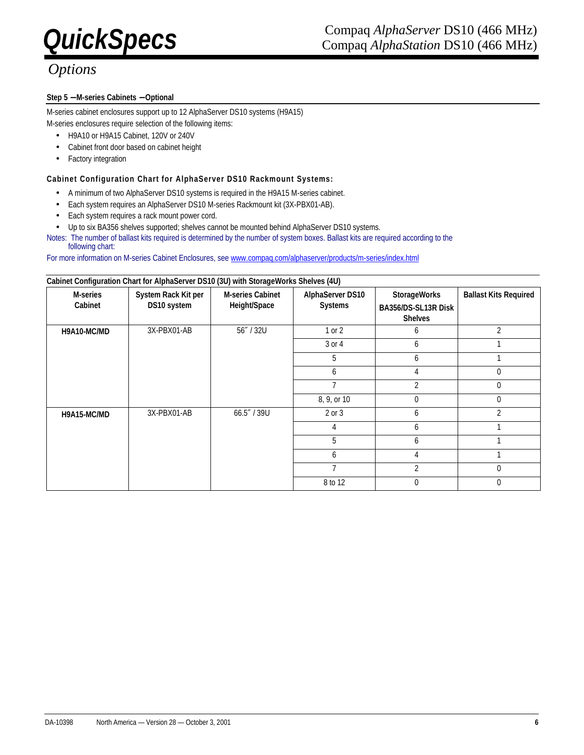### **Step 5** − **M-series Cabinets** − **Optional**

M-series cabinet enclosures support up to 12 AlphaServer DS10 systems (H9A15) M-series enclosures require selection of the following items:

- H9A10 or H9A15 Cabinet, 120V or 240V
- Cabinet front door based on cabinet height
- Factory integration

### **Cabinet Configuration Chart for AlphaServer DS10 Rackmount Systems:**

- A minimum of two AlphaServer DS10 systems is required in the H9A15 M-series cabinet.
- Each system requires an AlphaServer DS10 M-series Rackmount kit (3X-PBX01-AB).
- Each system requires a rack mount power cord.
- Up to six BA356 shelves supported; shelves cannot be mounted behind AlphaServer DS10 systems.
- Notes: The number of ballast kits required is determined by the number of system boxes. Ballast kits are required according to the following chart:

For more information on M-series Cabinet Enclosures, see www.compaq.com/alphaserver/products/m-series/index.html

| <b>M-series</b><br>Cabinet | System Rack Kit per<br>DS10 system | <b>M-series Cabinet</b><br>Height/Space | <b>AlphaServer DS10</b><br><b>Systems</b> | <b>StorageWorks</b><br>BA356/DS-SL13R Disk<br><b>Shelves</b> | <b>Ballast Kits Required</b> |
|----------------------------|------------------------------------|-----------------------------------------|-------------------------------------------|--------------------------------------------------------------|------------------------------|
| H9A10-MC/MD                | 3X-PBX01-AB                        | 56" / 32U                               | $1$ or $2$                                | 6                                                            | 2                            |
|                            |                                    |                                         | 3 or 4                                    | 6                                                            |                              |
|                            |                                    |                                         | 5                                         | 6                                                            |                              |
|                            |                                    |                                         | 6                                         | 4                                                            | $\theta$                     |
|                            |                                    |                                         |                                           | 2                                                            | $\Omega$                     |
|                            |                                    |                                         | 8, 9, or 10                               | 0                                                            | $\theta$                     |
| H9A15-MC/MD                | 3X-PBX01-AB                        | 66.5" / 39U                             | 2 or 3                                    | 6                                                            | 2                            |
|                            |                                    |                                         | 4                                         | 6                                                            |                              |
|                            |                                    |                                         | 5                                         | 6                                                            |                              |
|                            |                                    |                                         | 6                                         | 4                                                            |                              |
|                            |                                    |                                         | ∍                                         | 2                                                            | $\theta$                     |
|                            |                                    |                                         | 8 to 12                                   | 0                                                            | $\Omega$                     |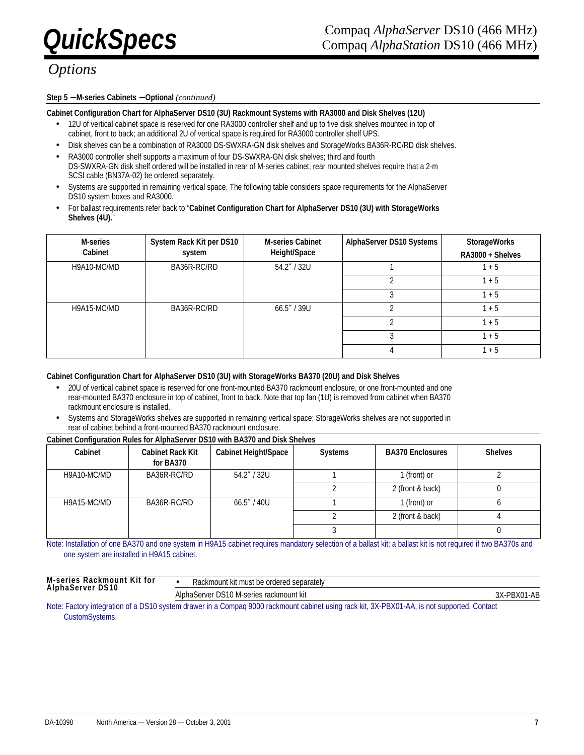### **Step 5** − **M-series Cabinets** − **Optional** *(continued)*

#### **Cabinet Configuration Chart for AlphaServer DS10 (3U) Rackmount Systems with RA3000 and Disk Shelves (12U)**

- 12U of vertical cabinet space is reserved for one RA3000 controller shelf and up to five disk shelves mounted in top of cabinet, front to back; an additional 2U of vertical space is required for RA3000 controller shelf UPS.
- Disk shelves can be a combination of RA3000 DS-SWXRA-GN disk shelves and StorageWorks BA36R-RC/RD disk shelves.
- RA3000 controller shelf supports a maximum of four DS-SWXRA-GN disk shelves; third and fourth DS-SWXRA-GN disk shelf ordered will be installed in rear of M-series cabinet; rear mounted shelves require that a 2-m SCSI cable (BN37A-02) be ordered separately.
- Systems are supported in remaining vertical space. The following table considers space requirements for the AlphaServer DS10 system boxes and RA3000.
- For ballast requirements refer back to "**Cabinet Configuration Chart for AlphaServer DS10 (3U) with StorageWorks Shelves (4U).**"

| <b>M-series</b><br>Cabinet | System Rack Kit per DS10<br>system | <b>M-series Cabinet</b><br>Height/Space | <b>AlphaServer DS10 Systems</b> | <b>StorageWorks</b><br>RA3000 + Shelves |
|----------------------------|------------------------------------|-----------------------------------------|---------------------------------|-----------------------------------------|
| H9A10-MC/MD                | BA36R-RC/RD                        | 54.2" / 32U                             |                                 | $1 + 5$                                 |
|                            |                                    |                                         |                                 | $1 + 5$                                 |
|                            |                                    |                                         |                                 | $1 + 5$                                 |
| H9A15-MC/MD                | BA36R-RC/RD                        | 66.5''/39U                              |                                 | $1 + 5$                                 |
|                            |                                    |                                         |                                 | $1 + 5$                                 |
|                            |                                    |                                         |                                 | $1 + 5$                                 |
|                            |                                    |                                         |                                 | $1 + 5$                                 |

#### **Cabinet Configuration Chart for AlphaServer DS10 (3U) with StorageWorks BA370 (20U) and Disk Shelves**

- 20U of vertical cabinet space is reserved for one front-mounted BA370 rackmount enclosure, or one front-mounted and one rear-mounted BA370 enclosure in top of cabinet, front to back. Note that top fan (1U) is removed from cabinet when BA370 rackmount enclosure is installed.
- Systems and StorageWorks shelves are supported in remaining vertical space; StorageWorks shelves are not supported in rear of cabinet behind a front-mounted BA370 rackmount enclosure.

#### **Cabinet Configuration Rules for AlphaServer DS10 with BA370 and Disk Shelves**

| Cabinet     | <b>Cabinet Rack Kit</b><br>for BA370 | <b>Cabinet Height/Space</b> | <b>Systems</b> | <b>BA370 Enclosures</b> | <b>Shelves</b> |
|-------------|--------------------------------------|-----------------------------|----------------|-------------------------|----------------|
| H9A10-MC/MD | BA36R-RC/RD                          | 54.2" / 32U                 |                | 1 (front) or            |                |
|             |                                      |                             |                | 2 (front & back)        |                |
| H9A15-MC/MD | BA36R-RC/RD                          | 66.5''/40U                  |                | 1 (front) or            |                |
|             |                                      |                             |                | 2 (front & back)        |                |
|             |                                      |                             |                |                         |                |

Note: Installation of one BA370 and one system in H9A15 cabinet requires mandatory selection of a ballast kit; a ballast kit is not required if two BA370s and one system are installed in H9A15 cabinet.

| M-series<br>. Kit tor<br>Rackmount<br><b>AlphaServer DS10</b> | Rackmount kit must be ordered separately |                            |
|---------------------------------------------------------------|------------------------------------------|----------------------------|
|                                                               | AlphaServer DS10 M-series rackmount kit  | へい<br>∕−……<br>∵י⊣∧ر<br>DA' |

Note: Factory integration of a DS10 system drawer in a Compaq 9000 rackmount cabinet using rack kit, 3X-PBX01-AA, is not supported. Contact CustomSystems.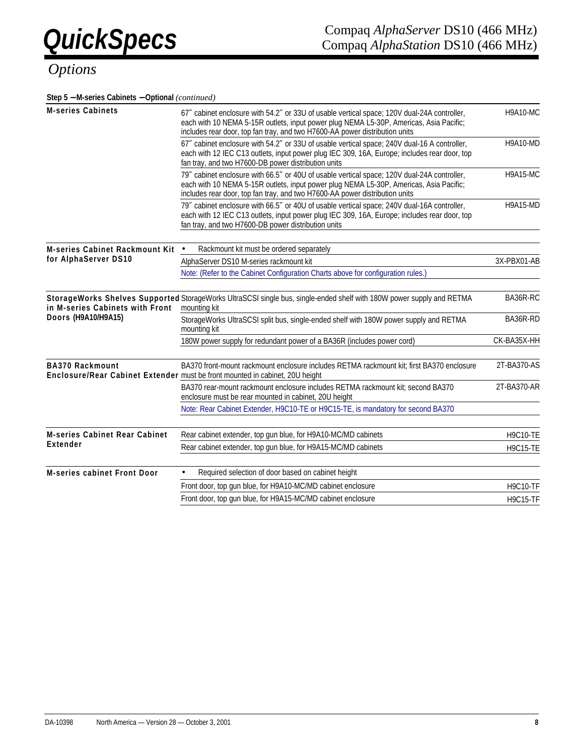**Step 5** − **M-series Cabinets** − **Optional** *(continued)*

| <b>M-series Cabinets</b>              | 67" cabinet enclosure with 54.2" or 33U of usable vertical space; 120V dual-24A controller,<br>each with 10 NEMA 5-15R outlets, input power plug NEMA L5-30P, Americas, Asia Pacific;<br>includes rear door, top fan tray, and two H7600-AA power distribution units | <b>H9A10-MC</b> |  |
|---------------------------------------|----------------------------------------------------------------------------------------------------------------------------------------------------------------------------------------------------------------------------------------------------------------------|-----------------|--|
|                                       | 67" cabinet enclosure with 54.2" or 33U of usable vertical space; 240V dual-16 A controller,<br>each with 12 IEC C13 outlets, input power plug IEC 309, 16A, Europe; includes rear door, top<br>fan tray, and two H7600-DB power distribution units                  | <b>H9A10-MD</b> |  |
|                                       | 79" cabinet enclosure with 66.5" or 40U of usable vertical space; 120V dual-24A controller,<br>each with 10 NEMA 5-15R outlets, input power plug NEMA L5-30P, Americas, Asia Pacific;<br>includes rear door, top fan tray, and two H7600-AA power distribution units |                 |  |
|                                       | 79" cabinet enclosure with 66.5" or 40U of usable vertical space; 240V dual-16A controller,<br>each with 12 IEC C13 outlets, input power plug IEC 309, 16A, Europe; includes rear door, top<br>fan tray, and two H7600-DB power distribution units                   | <b>H9A15-MD</b> |  |
| <b>M-series Cabinet Rackmount Kit</b> | Rackmount kit must be ordered separately                                                                                                                                                                                                                             |                 |  |
| for AlphaServer DS10                  | AlphaServer DS10 M-series rackmount kit                                                                                                                                                                                                                              | 3X-PBX01-AB     |  |
|                                       | Note: (Refer to the Cabinet Configuration Charts above for configuration rules.)                                                                                                                                                                                     |                 |  |
| in M-series Cabinets with Front       | Storage Works Shelves Supported Storage Works UltraSCSI single bus, single-ended shelf with 180W power supply and RETMA<br>mounting kit                                                                                                                              | BA36R-RC        |  |
| Doors (H9A10/H9A15)                   | StorageWorks UltraSCSI split bus, single-ended shelf with 180W power supply and RETMA<br>mounting kit                                                                                                                                                                | BA36R-RD        |  |
|                                       | 180W power supply for redundant power of a BA36R (includes power cord)                                                                                                                                                                                               | CK-BA35X-HH     |  |
| <b>BA370 Rackmount</b>                | BA370 front-mount rackmount enclosure includes RETMA rackmount kit; first BA370 enclosure<br>Enclosure/Rear Cabinet Extender must be front mounted in cabinet, 20U height                                                                                            | 2T-BA370-AS     |  |
|                                       | BA370 rear-mount rackmount enclosure includes RETMA rackmount kit; second BA370<br>enclosure must be rear mounted in cabinet, 20U height                                                                                                                             | 2T-BA370-AR     |  |
|                                       | Note: Rear Cabinet Extender, H9C10-TE or H9C15-TE, is mandatory for second BA370                                                                                                                                                                                     |                 |  |
| <b>M-series Cabinet Rear Cabinet</b>  | Rear cabinet extender, top gun blue, for H9A10-MC/MD cabinets                                                                                                                                                                                                        |                 |  |
| Extender                              | Rear cabinet extender, top gun blue, for H9A15-MC/MD cabinets                                                                                                                                                                                                        | <b>H9C15-TE</b> |  |
| <b>M-series cabinet Front Door</b>    | Required selection of door based on cabinet height                                                                                                                                                                                                                   |                 |  |
|                                       | Front door, top gun blue, for H9A10-MC/MD cabinet enclosure                                                                                                                                                                                                          |                 |  |
|                                       | Front door, top gun blue, for H9A15-MC/MD cabinet enclosure                                                                                                                                                                                                          | <b>H9C15-TF</b> |  |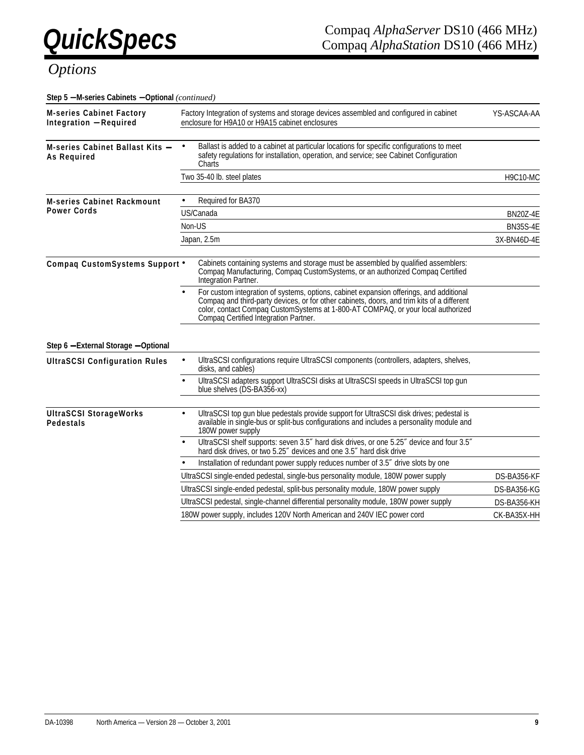| Step 5 - M-series Cabinets - Optional (continued)                |                                                                                                                                                                                                                                                                                                                    |                 |
|------------------------------------------------------------------|--------------------------------------------------------------------------------------------------------------------------------------------------------------------------------------------------------------------------------------------------------------------------------------------------------------------|-----------------|
| <b>M-series Cabinet Factory</b><br><b>Integration - Required</b> | Factory Integration of systems and storage devices assembled and configured in cabinet<br>enclosure for H9A10 or H9A15 cabinet enclosures                                                                                                                                                                          | YS-ASCAA-AA     |
| M-series Cabinet Ballast Kits -<br><b>As Required</b>            | Ballast is added to a cabinet at particular locations for specific configurations to meet<br>$\bullet$<br>safety regulations for installation, operation, and service; see Cabinet Configuration<br>Charts                                                                                                         |                 |
|                                                                  | Two 35-40 lb. steel plates                                                                                                                                                                                                                                                                                         | <b>H9C10-MC</b> |
| <b>M-series Cabinet Rackmount</b>                                | Required for BA370                                                                                                                                                                                                                                                                                                 |                 |
| <b>Power Cords</b>                                               | US/Canada                                                                                                                                                                                                                                                                                                          | <b>BN20Z-4E</b> |
|                                                                  | Non-US                                                                                                                                                                                                                                                                                                             | <b>BN35S-4E</b> |
|                                                                  | Japan, 2.5m                                                                                                                                                                                                                                                                                                        | 3X-BN46D-4E     |
| Compaq CustomSystems Support .                                   | Cabinets containing systems and storage must be assembled by qualified assemblers:<br>Compaq Manufacturing, Compaq CustomSystems, or an authorized Compaq Certified<br>Integration Partner.                                                                                                                        |                 |
|                                                                  | For custom integration of systems, options, cabinet expansion offerings, and additional<br>Compag and third-party devices, or for other cabinets, doors, and trim kits of a different<br>color, contact Compaq CustomSystems at 1-800-AT COMPAQ, or your local authorized<br>Compaq Certified Integration Partner. |                 |
| Step 6 - External Storage - Optional                             |                                                                                                                                                                                                                                                                                                                    |                 |
| <b>UltraSCSI Configuration Rules</b>                             | UltraSCSI configurations require UltraSCSI components (controllers, adapters, shelves,<br>$\bullet$<br>disks, and cables)                                                                                                                                                                                          |                 |
|                                                                  | UltraSCSI adapters support UltraSCSI disks at UltraSCSI speeds in UltraSCSI top gun<br>$\bullet$<br>blue shelves (DS-BA356-xx)                                                                                                                                                                                     |                 |
| <b>UltraSCSI StorageWorks</b><br>Pedestals                       | UltraSCSI top gun blue pedestals provide support for UltraSCSI disk drives; pedestal is<br>$\bullet$<br>available in single-bus or split-bus configurations and includes a personality module and<br>180W power supply                                                                                             |                 |
|                                                                  | UltraSCSI shelf supports: seven 3.5" hard disk drives, or one 5.25" device and four 3.5"<br>hard disk drives, or two 5.25" devices and one 3.5" hard disk drive                                                                                                                                                    |                 |
|                                                                  | Installation of redundant power supply reduces number of 3.5" drive slots by one                                                                                                                                                                                                                                   |                 |
|                                                                  | UltraSCSI single-ended pedestal, single-bus personality module, 180W power supply                                                                                                                                                                                                                                  | DS-BA356-KF     |
|                                                                  | UltraSCSI single-ended pedestal, split-bus personality module, 180W power supply                                                                                                                                                                                                                                   | DS-BA356-KG     |
|                                                                  | UltraSCSI pedestal, single-channel differential personality module, 180W power supply                                                                                                                                                                                                                              | DS-BA356-KH     |
|                                                                  | 180W power supply, includes 120V North American and 240V IEC power cord                                                                                                                                                                                                                                            | CK-BA35X-HH     |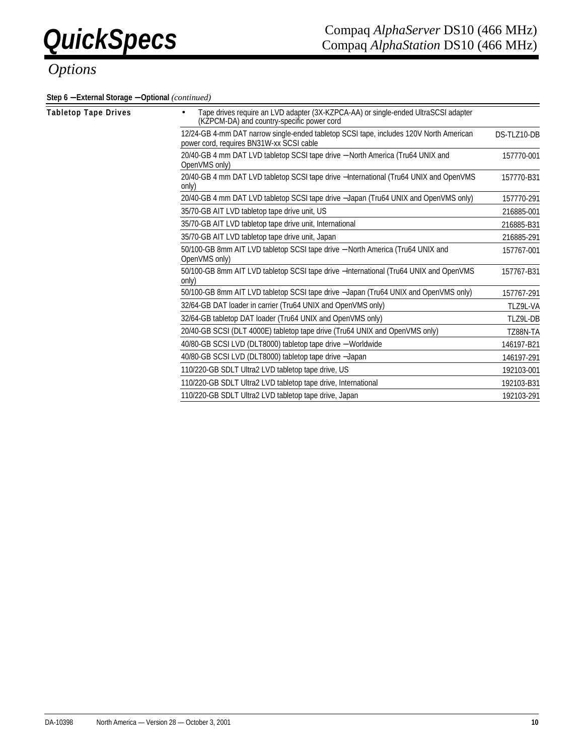**Step 6** − **External Storage** − **Optional** *(continued)*

| Tabletop Tape Drives | Tape drives require an LVD adapter (3X-KZPCA-AA) or single-ended UltraSCSI adapter<br>$\bullet$<br>(KZPCM-DA) and country-specific power cord |             |
|----------------------|-----------------------------------------------------------------------------------------------------------------------------------------------|-------------|
|                      | 12/24-GB 4-mm DAT narrow single-ended tabletop SCSI tape, includes 120V North American<br>power cord, requires BN31W-xx SCSI cable            | DS-TLZ10-DB |
|                      | 20/40-GB 4 mm DAT LVD tabletop SCSI tape drive - North America (Tru64 UNIX and<br>OpenVMS only)                                               | 157770-001  |
|                      | 20/40-GB 4 mm DAT LVD tabletop SCSI tape drive - International (Tru64 UNIX and OpenVMS<br>only)                                               | 157770-B31  |
|                      | 20/40-GB 4 mm DAT LVD tabletop SCSI tape drive -Japan (Tru64 UNIX and OpenVMS only)                                                           | 157770-291  |
|                      | 35/70-GB AIT LVD tabletop tape drive unit, US                                                                                                 | 216885-001  |
|                      | 35/70-GB AIT LVD tabletop tape drive unit, International                                                                                      | 216885-B31  |
|                      | 35/70-GB AIT LVD tabletop tape drive unit, Japan                                                                                              | 216885-291  |
|                      | 50/100-GB 8mm AIT LVD tabletop SCSI tape drive - North America (Tru64 UNIX and<br>OpenVMS only)                                               | 157767-001  |
|                      | 50/100-GB 8mm AIT LVD tabletop SCSI tape drive - International (Tru64 UNIX and OpenVMS<br>only)                                               | 157767-B31  |
|                      | 50/100-GB 8mm AIT LVD tabletop SCSI tape drive -Japan (Tru64 UNIX and OpenVMS only)                                                           | 157767-291  |
|                      | 32/64-GB DAT loader in carrier (Tru64 UNIX and OpenVMS only)                                                                                  | TLZ9L-VA    |
|                      | 32/64-GB tabletop DAT loader (Tru64 UNIX and OpenVMS only)                                                                                    | TLZ9L-DB    |
|                      | 20/40-GB SCSI (DLT 4000E) tabletop tape drive (Tru64 UNIX and OpenVMS only)                                                                   | TZ88N-TA    |
|                      | 40/80-GB SCSI LVD (DLT8000) tabletop tape drive - Worldwide                                                                                   | 146197-B21  |
|                      | 40/80-GB SCSI LVD (DLT8000) tabletop tape drive -Japan                                                                                        | 146197-291  |
|                      | 110/220-GB SDLT Ultra2 LVD tabletop tape drive, US                                                                                            | 192103-001  |
|                      | 110/220-GB SDLT Ultra2 LVD tabletop tape drive, International                                                                                 | 192103-B31  |
|                      | 110/220-GB SDLT Ultra2 LVD tabletop tape drive, Japan                                                                                         | 192103-291  |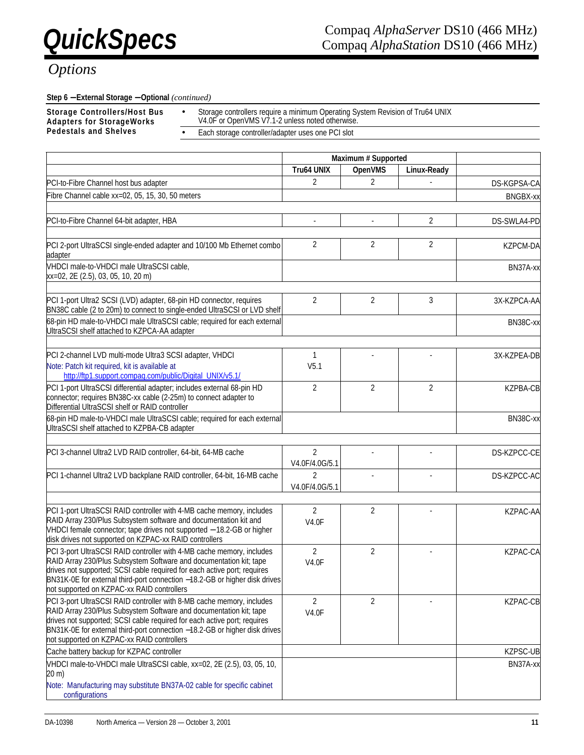#### **Step 6** − **External Storage** − **Optional** *(continued)*

**Storage Controllers/Host Bus Adapters for StorageWorks** 

- Storage controllers require a minimum Operating System Revision of Tru64 UNIX V4.0F or OpenVMS V7.1-2 unless noted otherwise.
- Each storage controller/adapter uses one PCI slot

|                                                                                                                                                                                                                                                                            | Maximum # Supported |                |                |                 |
|----------------------------------------------------------------------------------------------------------------------------------------------------------------------------------------------------------------------------------------------------------------------------|---------------------|----------------|----------------|-----------------|
|                                                                                                                                                                                                                                                                            | Tru64 UNIX          | <b>OpenVMS</b> | Linux-Ready    |                 |
| PCI-to-Fibre Channel host bus adapter                                                                                                                                                                                                                                      | $\overline{2}$      | $\overline{2}$ |                | DS-KGPSA-CA     |
| Fibre Channel cable xx=02, 05, 15, 30, 50 meters                                                                                                                                                                                                                           |                     |                |                | <b>BNGBX-xx</b> |
|                                                                                                                                                                                                                                                                            |                     |                |                |                 |
| PCI-to-Fibre Channel 64-bit adapter, HBA                                                                                                                                                                                                                                   |                     |                | 2              | DS-SWLA4-PD     |
|                                                                                                                                                                                                                                                                            |                     |                |                |                 |
| PCI 2-port UltraSCSI single-ended adapter and 10/100 Mb Ethernet combo<br>adapter                                                                                                                                                                                          | 2                   | 2              | $\overline{2}$ | <b>KZPCM-DA</b> |
| VHDCI male-to-VHDCI male UltraSCSI cable,<br>xx=02, 2E (2.5), 03, 05, 10, 20 m)                                                                                                                                                                                            |                     |                |                | BN37A-xx        |
|                                                                                                                                                                                                                                                                            |                     |                |                |                 |
| PCI 1-port Ultra2 SCSI (LVD) adapter, 68-pin HD connector, requires<br>BN38C cable (2 to 20m) to connect to single-ended UltraSCSI or LVD shelf                                                                                                                            | $\overline{2}$      | $\overline{2}$ | 3              | 3X-KZPCA-AA     |
| 68-pin HD male-to-VHDCI male UltraSCSI cable; required for each external<br>UltraSCSI shelf attached to KZPCA-AA adapter                                                                                                                                                   |                     |                |                | BN38C-xx        |
|                                                                                                                                                                                                                                                                            |                     |                |                |                 |
| PCI 2-channel LVD multi-mode Ultra3 SCSI adapter, VHDCI                                                                                                                                                                                                                    | 1                   |                |                | 3X-KZPEA-DB     |
| Note: Patch kit required, kit is available at<br>http://ftp1.support.compaq.com/public/Digital_UNIX/v5.1/                                                                                                                                                                  | V <sub>5.1</sub>    |                |                |                 |
| PCI 1-port UltraSCSI differential adapter; includes external 68-pin HD<br>connector; requires BN38C-xx cable (2-25m) to connect adapter to<br>Differential UltraSCSI shelf or RAID controller                                                                              | $\overline{2}$      | $\overline{2}$ | $\overline{2}$ | <b>KZPBA-CB</b> |
| 68-pin HD male-to-VHDCI male UltraSCSI cable; required for each external<br>UltraSCSI shelf attached to KZPBA-CB adapter                                                                                                                                                   |                     |                |                | BN38C-xx        |
| PCI 3-channel Ultra2 LVD RAID controller, 64-bit, 64-MB cache                                                                                                                                                                                                              | 2                   |                |                |                 |
|                                                                                                                                                                                                                                                                            | V4.0F/4.0G/5.1      |                |                | DS-KZPCC-CE     |
| PCI 1-channel Ultra2 LVD backplane RAID controller, 64-bit, 16-MB cache                                                                                                                                                                                                    | $\overline{2}$      | ÷,             |                | DS-KZPCC-AC     |
|                                                                                                                                                                                                                                                                            | V4.0F/4.0G/5.1      |                |                |                 |
|                                                                                                                                                                                                                                                                            |                     |                |                |                 |
| PCI 1-port UltraSCSI RAID controller with 4-MB cache memory, includes                                                                                                                                                                                                      | $\overline{2}$      | $\overline{2}$ |                | KZPAC-AA        |
| RAID Array 230/Plus Subsystem software and documentation kit and<br>VHDCI female connector; tape drives not supported - 18.2-GB or higher<br>disk drives not supported on KZPAC-xx RAID controllers                                                                        | <b>V4.0F</b>        |                |                |                 |
| PCI 3-port UltraSCSI RAID controller with 4-MB cache memory, includes                                                                                                                                                                                                      | $\overline{2}$      | $\overline{2}$ |                | KZPAC-CA        |
| RAID Array 230/Plus Subsystem Software and documentation kit; tape<br>drives not supported; SCSI cable required for each active port; requires<br>BN31K-0E for external third-port connection -18.2-GB or higher disk drives<br>not supported on KZPAC-xx RAID controllers | <b>V4.0F</b>        |                |                |                 |
| PCI 3-port UltraSCSI RAID controller with 8-MB cache memory, includes                                                                                                                                                                                                      | 2                   | $\overline{2}$ |                | KZPAC-CB        |
| RAID Array 230/Plus Subsystem Software and documentation kit; tape<br>drives not supported; SCSI cable required for each active port; requires<br>BN31K-0E for external third-port connection -18.2-GB or higher disk drives<br>not supported on KZPAC-xx RAID controllers | <b>V4.0F</b>        |                |                |                 |
| Cache battery backup for KZPAC controller                                                                                                                                                                                                                                  |                     |                |                | KZPSC-UB        |
| VHDCI male-to-VHDCI male UltraSCSI cable, xx=02, 2E (2.5), 03, 05, 10,                                                                                                                                                                                                     |                     |                |                | BN37A-xx        |
| 20 m)                                                                                                                                                                                                                                                                      |                     |                |                |                 |
| Note: Manufacturing may substitute BN37A-02 cable for specific cabinet<br>configurations                                                                                                                                                                                   |                     |                |                |                 |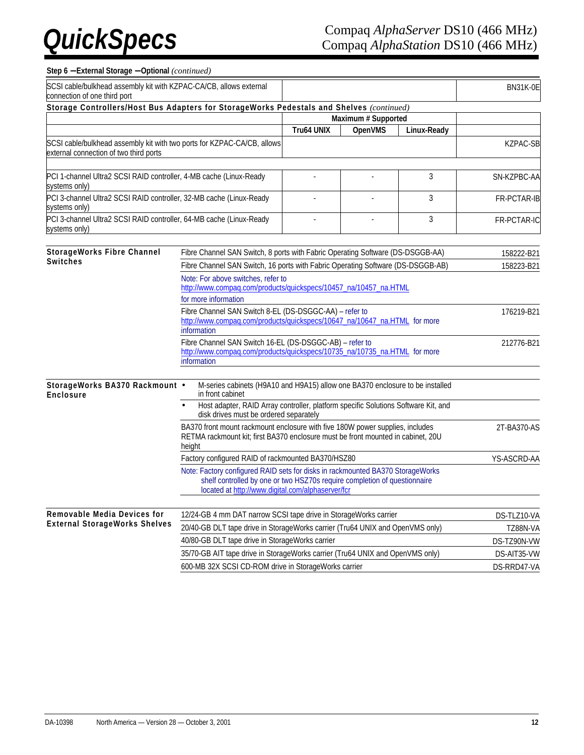### **Step 6** − **External Storage** − **Optional** *(continued)*

| SCSI cable/bulkhead assembly kit with KZPAC-CA/CB, allows external<br>connection of one third port                |                                                                                                                                                                                                                  |                   |                     |             | <b>BN31K-0E</b> |
|-------------------------------------------------------------------------------------------------------------------|------------------------------------------------------------------------------------------------------------------------------------------------------------------------------------------------------------------|-------------------|---------------------|-------------|-----------------|
| Storage Controllers/Host Bus Adapters for StorageWorks Pedestals and Shelves (continued)                          |                                                                                                                                                                                                                  |                   |                     |             |                 |
|                                                                                                                   |                                                                                                                                                                                                                  |                   | Maximum # Supported |             |                 |
|                                                                                                                   |                                                                                                                                                                                                                  | <b>Tru64 UNIX</b> | <b>OpenVMS</b>      | Linux-Ready |                 |
| SCSI cable/bulkhead assembly kit with two ports for KZPAC-CA/CB, allows<br>external connection of two third ports |                                                                                                                                                                                                                  |                   |                     |             | KZPAC-SB        |
| PCI 1-channel Ultra2 SCSI RAID controller, 4-MB cache (Linux-Ready<br>systems only)                               |                                                                                                                                                                                                                  |                   |                     | 3           | SN-KZPBC-AA     |
| PCI 3-channel Ultra2 SCSI RAID controller, 32-MB cache (Linux-Ready<br>systems only)                              |                                                                                                                                                                                                                  |                   |                     | 3           | FR-PCTAR-IB     |
| PCI 3-channel Ultra2 SCSI RAID controller, 64-MB cache (Linux-Ready<br>systems only)                              |                                                                                                                                                                                                                  |                   |                     | 3           | FR-PCTAR-IC     |
| <b>StorageWorks Fibre Channel</b>                                                                                 | Fibre Channel SAN Switch, 8 ports with Fabric Operating Software (DS-DSGGB-AA)                                                                                                                                   |                   |                     |             |                 |
| <b>Switches</b>                                                                                                   |                                                                                                                                                                                                                  |                   |                     |             | 158222-B21      |
|                                                                                                                   | Fibre Channel SAN Switch, 16 ports with Fabric Operating Software (DS-DSGGB-AB)                                                                                                                                  |                   |                     |             | 158223-B21      |
|                                                                                                                   | Note: For above switches, refer to<br>http://www.compaq.com/products/quickspecs/10457_na/10457_na.HTML                                                                                                           |                   |                     |             |                 |
|                                                                                                                   | for more information                                                                                                                                                                                             |                   |                     |             |                 |
|                                                                                                                   | Fibre Channel SAN Switch 8-EL (DS-DSGGC-AA) - refer to                                                                                                                                                           |                   | 176219-B21          |             |                 |
|                                                                                                                   | http://www.compaq.com/products/quickspecs/10647_na/10647_na.HTML for more<br>information                                                                                                                         |                   |                     |             |                 |
|                                                                                                                   | Fibre Channel SAN Switch 16-EL (DS-DSGGC-AB) - refer to                                                                                                                                                          |                   |                     |             | 212776-B21      |
|                                                                                                                   | http://www.compaq.com/products/quickspecs/10735_na/10735_na.HTML for more<br>information                                                                                                                         |                   |                     |             |                 |
| StorageWorks BA370 Rackmount .<br>Enclosure                                                                       | M-series cabinets (H9A10 and H9A15) allow one BA370 enclosure to be installed<br>in front cabinet                                                                                                                |                   |                     |             |                 |
|                                                                                                                   | Host adapter, RAID Array controller, platform specific Solutions Software Kit, and<br>disk drives must be ordered separately                                                                                     |                   |                     |             |                 |
|                                                                                                                   | BA370 front mount rackmount enclosure with five 180W power supplies, includes<br>RETMA rackmount kit: first BA370 enclosure must be front mounted in cabinet. 20U<br>height                                      |                   |                     |             | 2T-BA370-AS     |
|                                                                                                                   | Factory configured RAID of rackmounted BA370/HSZ80                                                                                                                                                               |                   |                     |             | YS-ASCRD-AA     |
|                                                                                                                   | Note: Factory configured RAID sets for disks in rackmounted BA370 StorageWorks<br>shelf controlled by one or two HSZ70s require completion of questionnaire<br>located at http://www.digital.com/alphaserver/fcr |                   |                     |             |                 |
| Removable Media Devices for                                                                                       | 12/24-GB 4 mm DAT narrow SCSI tape drive in StorageWorks carrier                                                                                                                                                 |                   |                     |             | DS-TLZ10-VA     |
| <b>External StorageWorks Shelves</b>                                                                              | 20/40-GB DLT tape drive in StorageWorks carrier (Tru64 UNIX and OpenVMS only)                                                                                                                                    |                   |                     |             | TZ88N-VA        |
|                                                                                                                   | 40/80-GB DLT tape drive in StorageWorks carrier                                                                                                                                                                  |                   |                     |             | DS-TZ90N-VW     |
|                                                                                                                   | 35/70-GB AIT tape drive in StorageWorks carrier (Tru64 UNIX and OpenVMS only)                                                                                                                                    |                   |                     |             | DS-AIT35-VW     |
|                                                                                                                   | 600-MB 32X SCSI CD-ROM drive in StorageWorks carrier                                                                                                                                                             |                   |                     |             | DS-RRD47-VA     |
|                                                                                                                   |                                                                                                                                                                                                                  |                   |                     |             |                 |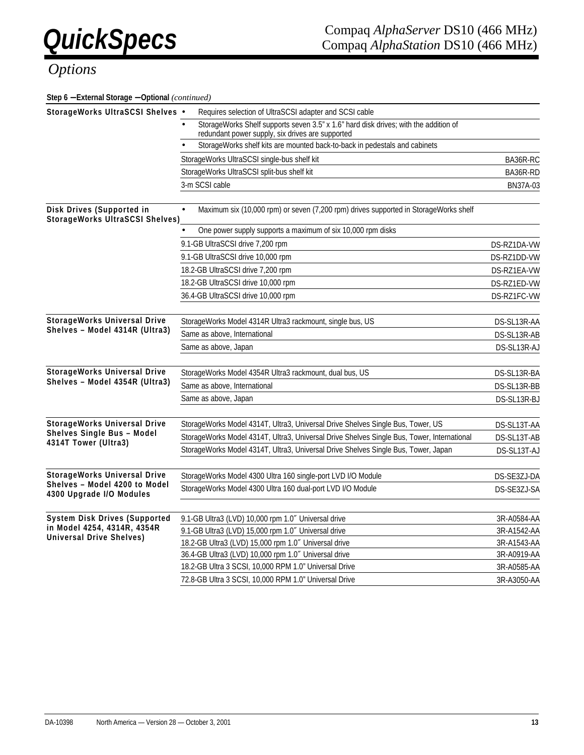| Step 6 - External Storage - Optional (continued)                      |                                                                                                                                          |             |
|-----------------------------------------------------------------------|------------------------------------------------------------------------------------------------------------------------------------------|-------------|
| StorageWorks UltraSCSI Shelves •                                      | Requires selection of UltraSCSI adapter and SCSI cable                                                                                   |             |
|                                                                       | StorageWorks Shelf supports seven 3.5" x 1.6" hard disk drives; with the addition of<br>redundant power supply, six drives are supported |             |
|                                                                       | StorageWorks shelf kits are mounted back-to-back in pedestals and cabinets                                                               |             |
|                                                                       | StorageWorks UltraSCSI single-bus shelf kit                                                                                              | BA36R-RC    |
|                                                                       | StorageWorks UltraSCSI split-bus shelf kit                                                                                               | BA36R-RD    |
|                                                                       | 3-m SCSI cable                                                                                                                           | BN37A-03    |
| Disk Drives (Supported in<br><b>StorageWorks UltraSCSI Shelves)</b>   | Maximum six (10,000 rpm) or seven (7,200 rpm) drives supported in StorageWorks shelf<br>$\bullet$                                        |             |
|                                                                       | One power supply supports a maximum of six 10,000 rpm disks                                                                              |             |
|                                                                       | 9.1-GB UltraSCSI drive 7,200 rpm                                                                                                         | DS-RZ1DA-VW |
|                                                                       | 9.1-GB UltraSCSI drive 10,000 rpm                                                                                                        | DS-RZ1DD-VW |
|                                                                       | 18.2-GB UltraSCSI drive 7,200 rpm                                                                                                        | DS-RZ1EA-VW |
|                                                                       | 18.2-GB UltraSCSI drive 10,000 rpm                                                                                                       | DS-RZ1ED-VW |
|                                                                       | 36.4-GB UltraSCSI drive 10,000 rpm                                                                                                       | DS-RZ1FC-VW |
| <b>StorageWorks Universal Drive</b><br>Shelves - Model 4314R (Ultra3) | StorageWorks Model 4314R Ultra3 rackmount, single bus, US                                                                                | DS-SL13R-AA |
|                                                                       | Same as above, International                                                                                                             | DS-SL13R-AB |
|                                                                       | Same as above, Japan                                                                                                                     | DS-SL13R-AJ |
| StorageWorks Universal Drive                                          | StorageWorks Model 4354R Ultra3 rackmount, dual bus, US                                                                                  | DS-SL13R-BA |
| Shelves - Model 4354R (Ultra3)                                        | Same as above, International                                                                                                             | DS-SL13R-BB |
|                                                                       | Same as above, Japan                                                                                                                     | DS-SL13R-BJ |
| <b>StorageWorks Universal Drive</b>                                   | StorageWorks Model 4314T, Ultra3, Universal Drive Shelves Single Bus, Tower, US                                                          | DS-SL13T-AA |
| Shelves Single Bus - Model<br>4314T Tower (Ultra3)                    | StorageWorks Model 4314T, Ultra3, Universal Drive Shelves Single Bus, Tower, International                                               | DS-SL13T-AB |
|                                                                       | StorageWorks Model 4314T, Ultra3, Universal Drive Shelves Single Bus, Tower, Japan                                                       | DS-SL13T-AJ |
| StorageWorks Universal Drive                                          | StorageWorks Model 4300 Ultra 160 single-port LVD I/O Module                                                                             | DS-SE3ZJ-DA |
| Shelves - Model 4200 to Model<br>4300 Upgrade I/O Modules             | StorageWorks Model 4300 Ultra 160 dual-port LVD I/O Module                                                                               | DS-SE3ZJ-SA |
| <b>System Disk Drives (Supported</b>                                  | 9.1-GB Ultra3 (LVD) 10,000 rpm 1.0" Universal drive                                                                                      | 3R-A0584-AA |
| in Model 4254, 4314R, 4354R                                           | 9.1-GB Ultra3 (LVD) 15,000 rpm 1.0" Universal drive                                                                                      | 3R-A1542-AA |
| Universal Drive Shelves)                                              | 18.2-GB Ultra3 (LVD) 15,000 rpm 1.0" Universal drive                                                                                     | 3R-A1543-AA |
|                                                                       | 36.4-GB Ultra3 (LVD) 10,000 rpm 1.0" Universal drive                                                                                     | 3R-A0919-AA |
|                                                                       | 18.2-GB Ultra 3 SCSI, 10,000 RPM 1.0" Universal Drive                                                                                    | 3R-A0585-AA |
|                                                                       | 72.8-GB Ultra 3 SCSI, 10,000 RPM 1.0" Universal Drive                                                                                    | 3R-A3050-AA |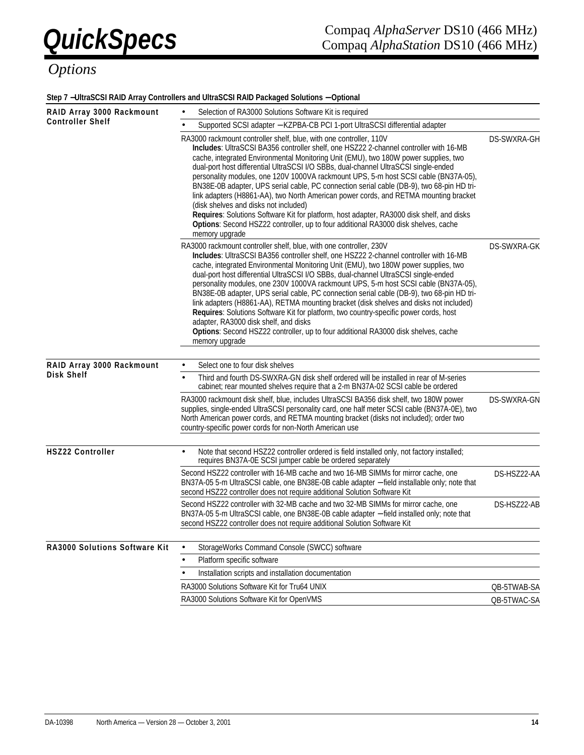#### **Step 7** −**UltraSCSI RAID Array Controllers and UltraSCSI RAID Packaged Solutions** − **Optional**

| RAID Array 3000 Rackmount     | Selection of RA3000 Solutions Software Kit is required                                                                                                                                                                                                                                                                                                                                                                                                                                                                                                                                                                                                                                                                                                                                                                                                              |             |
|-------------------------------|---------------------------------------------------------------------------------------------------------------------------------------------------------------------------------------------------------------------------------------------------------------------------------------------------------------------------------------------------------------------------------------------------------------------------------------------------------------------------------------------------------------------------------------------------------------------------------------------------------------------------------------------------------------------------------------------------------------------------------------------------------------------------------------------------------------------------------------------------------------------|-------------|
| <b>Controller Shelf</b>       | Supported SCSI adapter - KZPBA-CB PCI 1-port UltraSCSI differential adapter                                                                                                                                                                                                                                                                                                                                                                                                                                                                                                                                                                                                                                                                                                                                                                                         |             |
|                               | RA3000 rackmount controller shelf, blue, with one controller, 110V<br>Includes: UltraSCSI BA356 controller shelf, one HSZ22 2-channel controller with 16-MB<br>cache, integrated Environmental Monitoring Unit (EMU), two 180W power supplies, two<br>dual-port host differential UltraSCSI I/O SBBs, dual-channel UltraSCSI single-ended<br>personality modules, one 120V 1000VA rackmount UPS, 5-m host SCSI cable (BN37A-05),<br>BN38E-0B adapter, UPS serial cable, PC connection serial cable (DB-9), two 68-pin HD tri-<br>link adapters (H8861-AA), two North American power cords, and RETMA mounting bracket<br>(disk shelves and disks not included)<br>Requires: Solutions Software Kit for platform, host adapter, RA3000 disk shelf, and disks<br>Options: Second HSZ22 controller, up to four additional RA3000 disk shelves, cache<br>memory upgrade | DS-SWXRA-GH |
|                               | RA3000 rackmount controller shelf, blue, with one controller, 230V<br>Includes: UltraSCSI BA356 controller shelf, one HSZ22 2-channel controller with 16-MB<br>cache, integrated Environmental Monitoring Unit (EMU), two 180W power supplies, two<br>dual-port host differential UltraSCSI I/O SBBs, dual-channel UltraSCSI single-ended<br>personality modules, one 230V 1000VA rackmount UPS, 5-m host SCSI cable (BN37A-05),<br>BN38E-0B adapter, UPS serial cable, PC connection serial cable (DB-9), two 68-pin HD tri-<br>link adapters (H8861-AA), RETMA mounting bracket (disk shelves and disks not included)<br>Requires: Solutions Software Kit for platform, two country-specific power cords, host<br>adapter, RA3000 disk shelf, and disks<br>Options: Second HSZ22 controller, up to four additional RA3000 disk shelves, cache<br>memory upgrade   | DS-SWXRA-GK |
|                               |                                                                                                                                                                                                                                                                                                                                                                                                                                                                                                                                                                                                                                                                                                                                                                                                                                                                     |             |
| RAID Array 3000 Rackmount     | Select one to four disk shelves                                                                                                                                                                                                                                                                                                                                                                                                                                                                                                                                                                                                                                                                                                                                                                                                                                     |             |
| Disk Shelf                    | Third and fourth DS-SWXRA-GN disk shelf ordered will be installed in rear of M-series<br>$\bullet$<br>cabinet; rear mounted shelves require that a 2-m BN37A-02 SCSI cable be ordered                                                                                                                                                                                                                                                                                                                                                                                                                                                                                                                                                                                                                                                                               |             |
|                               | RA3000 rackmount disk shelf, blue, includes UltraSCSI BA356 disk shelf, two 180W power<br>supplies, single-ended UltraSCSI personality card, one half meter SCSI cable (BN37A-0E), two<br>North American power cords, and RETMA mounting bracket (disks not included); order two<br>country-specific power cords for non-North American use                                                                                                                                                                                                                                                                                                                                                                                                                                                                                                                         | DS-SWXRA-GN |
| <b>HSZ22 Controller</b>       | Note that second HSZ22 controller ordered is field installed only, not factory installed;<br>requires BN37A-0E SCSI jumper cable be ordered separately                                                                                                                                                                                                                                                                                                                                                                                                                                                                                                                                                                                                                                                                                                              |             |
|                               | Second HSZ22 controller with 16-MB cache and two 16-MB SIMMs for mirror cache, one<br>BN37A-05 5-m UltraSCSI cable, one BN38E-0B cable adapter - field installable only; note that<br>second HSZ22 controller does not require additional Solution Software Kit                                                                                                                                                                                                                                                                                                                                                                                                                                                                                                                                                                                                     | DS-HSZ22-AA |
|                               | Second HSZ22 controller with 32-MB cache and two 32-MB SIMMs for mirror cache, one<br>BN37A-05 5-m UltraSCSI cable, one BN38E-0B cable adapter - field installed only; note that<br>second HSZ22 controller does not require additional Solution Software Kit                                                                                                                                                                                                                                                                                                                                                                                                                                                                                                                                                                                                       | DS-HSZ22-AB |
| RA3000 Solutions Software Kit | StorageWorks Command Console (SWCC) software                                                                                                                                                                                                                                                                                                                                                                                                                                                                                                                                                                                                                                                                                                                                                                                                                        |             |
|                               | Platform specific software                                                                                                                                                                                                                                                                                                                                                                                                                                                                                                                                                                                                                                                                                                                                                                                                                                          |             |
|                               | Installation scripts and installation documentation                                                                                                                                                                                                                                                                                                                                                                                                                                                                                                                                                                                                                                                                                                                                                                                                                 |             |
|                               | RA3000 Solutions Software Kit for Tru64 UNIX                                                                                                                                                                                                                                                                                                                                                                                                                                                                                                                                                                                                                                                                                                                                                                                                                        | QB-5TWAB-SA |
|                               | RA3000 Solutions Software Kit for OpenVMS                                                                                                                                                                                                                                                                                                                                                                                                                                                                                                                                                                                                                                                                                                                                                                                                                           | QB-5TWAC-SA |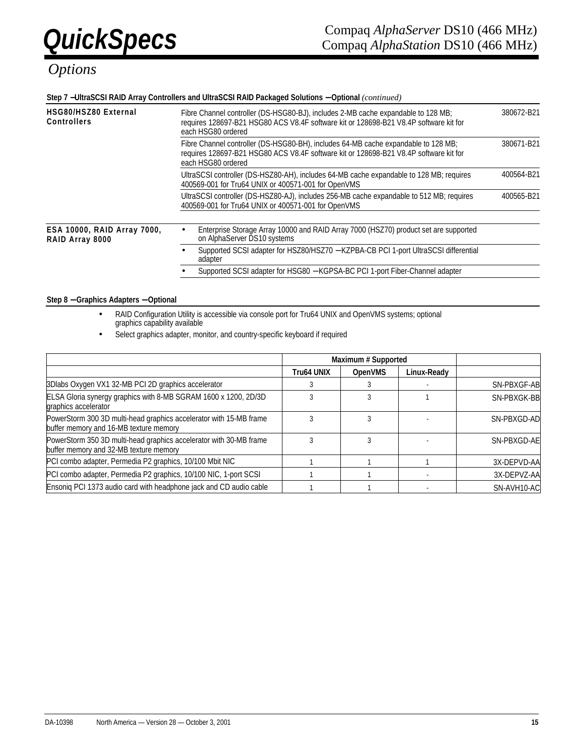#### **Step 7** −**UltraSCSI RAID Array Controllers and UltraSCSI RAID Packaged Solutions** − **Optional** *(continued)*

| HSG80/HSZ80 External<br><b>Controllers</b>     | 380672-B21<br>Fibre Channel controller (DS-HSG80-BJ), includes 2-MB cache expandable to 128 MB;<br>requires 128697-B21 HSG80 ACS V8.4F software kit or 128698-B21 V8.4P software kit for<br>each HSG80 ordered |            |  |  |
|------------------------------------------------|----------------------------------------------------------------------------------------------------------------------------------------------------------------------------------------------------------------|------------|--|--|
|                                                | Fibre Channel controller (DS-HSG80-BH), includes 64-MB cache expandable to 128 MB;<br>requires 128697-B21 HSG80 ACS V8.4F software kit or 128698-B21 V8.4P software kit for<br>each HSG80 ordered              | 380671-B21 |  |  |
|                                                | UltraSCSI controller (DS-HSZ80-AH), includes 64-MB cache expandable to 128 MB; requires<br>400569-001 for Tru64 UNIX or 400571-001 for OpenVMS                                                                 | 400564-B21 |  |  |
|                                                | UltraSCSI controller (DS-HSZ80-AJ), includes 256-MB cache expandable to 512 MB; requires<br>400569-001 for Tru64 UNIX or 400571-001 for OpenVMS                                                                | 400565-B21 |  |  |
| ESA 10000, RAID Array 7000,<br>RAID Array 8000 | Enterprise Storage Array 10000 and RAID Array 7000 (HSZ70) product set are supported<br>on AlphaServer DS10 systems                                                                                            |            |  |  |
|                                                | Supported SCSI adapter for HSZ80/HSZ70 - KZPBA-CB PCI 1-port UltraSCSI differential<br>adapter                                                                                                                 |            |  |  |
|                                                | Supported SCSI adapter for HSG80 - KGPSA-BC PCI 1-port Fiber-Channel adapter                                                                                                                                   |            |  |  |

#### **Step 8** − **Graphics Adapters** − **Optional**

- RAID Configuration Utility is accessible via console port for Tru64 UNIX and OpenVMS systems; optional graphics capability available
- Select graphics adapter, monitor, and country-specific keyboard if required

|                                                                                                              | Maximum # Supported |                |             |             |
|--------------------------------------------------------------------------------------------------------------|---------------------|----------------|-------------|-------------|
|                                                                                                              | <b>Tru64 UNIX</b>   | <b>OpenVMS</b> | Linux-Readv |             |
| 3Dlabs Oxygen VX1 32-MB PCI 2D graphics accelerator                                                          |                     |                |             | SN-PBXGF-AB |
| ELSA Gloria synergy graphics with 8-MB SGRAM 1600 x 1200, 2D/3D<br>graphics accelerator                      |                     |                |             | SN-PBXGK-BB |
| PowerStorm 300 3D multi-head graphics accelerator with 15-MB frame<br>buffer memory and 16-MB texture memory |                     |                |             | SN-PBXGD-AD |
| PowerStorm 350 3D multi-head graphics accelerator with 30-MB frame<br>buffer memory and 32-MB texture memory |                     |                |             | SN-PBXGD-AE |
| PCI combo adapter, Permedia P2 graphics, 10/100 Mbit NIC                                                     |                     |                |             | 3X-DEPVD-AA |
| PCI combo adapter, Permedia P2 graphics, 10/100 NIC, 1-port SCSI                                             |                     |                |             | 3X-DEPVZ-AA |
| Ensoniq PCI 1373 audio card with headphone jack and CD audio cable                                           |                     |                |             | SN-AVH10-AC |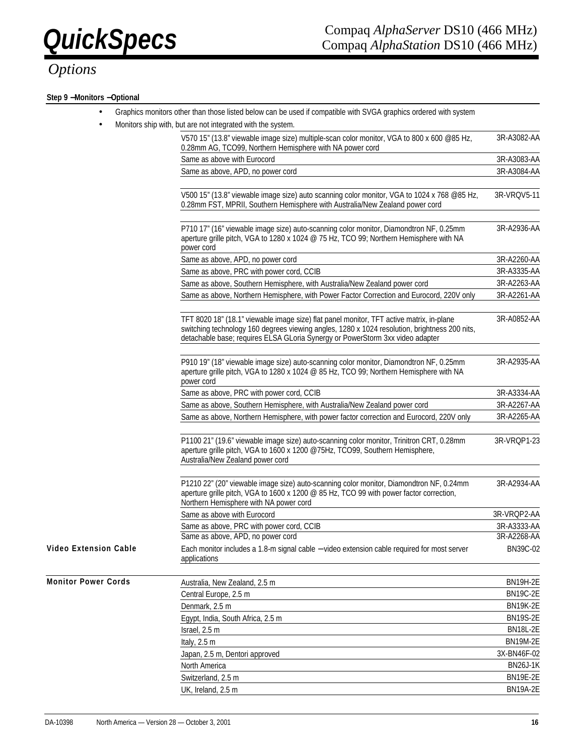## **QuickSpecs** Compaq *AlphaServer* DS10 (466 MHz)<br>Compaq *AlphaStation* DS10 (466 MHz) Compaq *AlphaStation* DS10 (466 MHz)

# *Options*

### **Step 9** −**Monitors** −**Optional**

|                              | Graphics monitors other than those listed below can be used if compatible with SVGA graphics ordered with system                                                                                                                                                           |                 |
|------------------------------|----------------------------------------------------------------------------------------------------------------------------------------------------------------------------------------------------------------------------------------------------------------------------|-----------------|
| $\bullet$                    | Monitors ship with, but are not integrated with the system.                                                                                                                                                                                                                |                 |
|                              | V570 15" (13.8" viewable image size) multiple-scan color monitor, VGA to 800 x 600 @85 Hz,<br>0.28mm AG, TCO99, Northern Hemisphere with NA power cord                                                                                                                     | 3R-A3082-AA     |
|                              | Same as above with Eurocord                                                                                                                                                                                                                                                | 3R-A3083-AA     |
|                              | Same as above, APD, no power cord                                                                                                                                                                                                                                          | 3R-A3084-AA     |
|                              | V500 15" (13.8" viewable image size) auto scanning color monitor, VGA to 1024 x 768 @85 Hz,<br>0.28mm FST, MPRII, Southern Hemisphere with Australia/New Zealand power cord                                                                                                | 3R-VRQV5-11     |
|                              | P710 17" (16" viewable image size) auto-scanning color monitor, Diamondtron NF, 0.25mm<br>aperture grille pitch, VGA to 1280 x 1024 @ 75 Hz, TCO 99; Northern Hemisphere with NA<br>power cord                                                                             | 3R-A2936-AA     |
|                              | Same as above, APD, no power cord                                                                                                                                                                                                                                          | 3R-A2260-AA     |
|                              | Same as above, PRC with power cord, CCIB                                                                                                                                                                                                                                   | 3R-A3335-AA     |
|                              | Same as above, Southern Hemisphere, with Australia/New Zealand power cord                                                                                                                                                                                                  | 3R-A2263-AA     |
|                              | Same as above, Northern Hemisphere, with Power Factor Correction and Eurocord, 220V only                                                                                                                                                                                   | 3R-A2261-AA     |
|                              | TFT 8020 18" (18.1" viewable image size) flat panel monitor, TFT active matrix, in-plane<br>switching technology 160 degrees viewing angles, 1280 x 1024 resolution, brightness 200 nits,<br>detachable base; requires ELSA GLoria Synergy or PowerStorm 3xx video adapter | 3R-A0852-AA     |
|                              | P910 19" (18" viewable image size) auto-scanning color monitor, Diamondtron NF, 0.25mm<br>aperture grille pitch, VGA to 1280 x 1024 @ 85 Hz, TCO 99; Northern Hemisphere with NA<br>power cord                                                                             | 3R-A2935-AA     |
|                              | Same as above, PRC with power cord, CCIB                                                                                                                                                                                                                                   | 3R-A3334-AA     |
|                              | Same as above, Southern Hemisphere, with Australia/New Zealand power cord                                                                                                                                                                                                  | 3R-A2267-AA     |
|                              | Same as above, Northern Hemisphere, with power factor correction and Eurocord, 220V only                                                                                                                                                                                   | 3R-A2265-AA     |
|                              | P1100 21" (19.6" viewable image size) auto-scanning color monitor, Trinitron CRT, 0.28mm<br>aperture grille pitch, VGA to 1600 x 1200 @75Hz, TCO99, Southern Hemisphere,<br>Australia/New Zealand power cord                                                               | 3R-VRQP1-23     |
|                              | P1210 22" (20" viewable image size) auto-scanning color monitor, Diamondtron NF, 0.24mm<br>aperture grille pitch, VGA to 1600 x 1200 @ 85 Hz, TCO 99 with power factor correction,<br>Northern Hemisphere with NA power cord                                               | 3R-A2934-AA     |
|                              | Same as above with Eurocord                                                                                                                                                                                                                                                | 3R-VRQP2-AA     |
|                              | Same as above, PRC with power cord, CCIB                                                                                                                                                                                                                                   | 3R-A3333-AA     |
|                              | Same as above, APD, no power cord                                                                                                                                                                                                                                          | 3R-A2268-AA     |
| <b>Video Extension Cable</b> | Each monitor includes a 1.8-m signal cable - video extension cable required for most server<br>applications                                                                                                                                                                | BN39C-02        |
| <b>Monitor Power Cords</b>   | Australia, New Zealand, 2.5 m                                                                                                                                                                                                                                              | <b>BN19H-2E</b> |
|                              | Central Europe, 2.5 m                                                                                                                                                                                                                                                      | <b>BN19C-2E</b> |
|                              | Denmark, 2.5 m                                                                                                                                                                                                                                                             | <b>BN19K-2E</b> |
|                              | Egypt, India, South Africa, 2.5 m                                                                                                                                                                                                                                          | <b>BN19S-2E</b> |
|                              | Israel, 2.5 m                                                                                                                                                                                                                                                              | <b>BN18L-2E</b> |

Italy, 2.5 m BN19M-2E Japan, 2.5 m, Dentori approved 3X-BN46F-02 North America BN26J-1K Switzerland, 2.5 m BN19E-2E UK, Ireland, 2.5 m BN19A-2E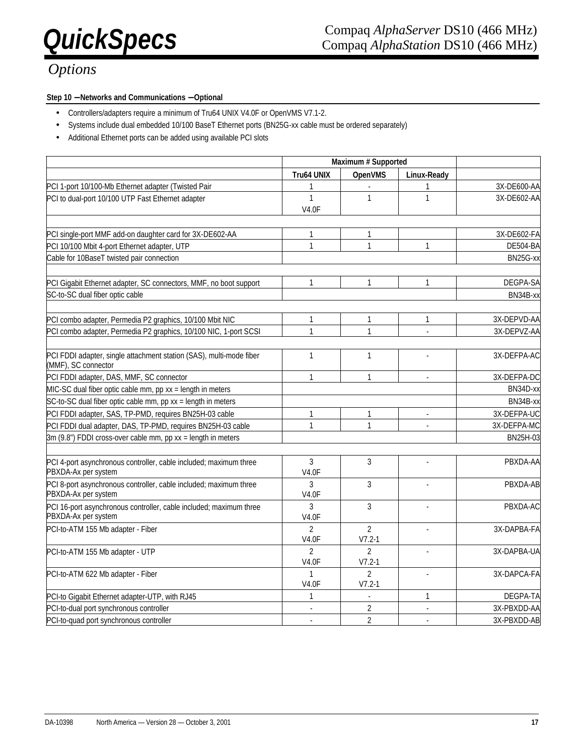### **Step 10** − **Networks and Communications** − **Optional**

- Controllers/adapters require a minimum of Tru64 UNIX V4.0F or OpenVMS V7.1-2.
- Systems include dual embedded 10/100 BaseT Ethernet ports (BN25G-xx cable must be ordered separately)
- Additional Ethernet ports can be added using available PCI slots

|                                                                                            | Maximum # Supported            |                              |                |                 |
|--------------------------------------------------------------------------------------------|--------------------------------|------------------------------|----------------|-----------------|
|                                                                                            | <b>Tru64 UNIX</b>              | <b>OpenVMS</b>               | Linux-Ready    |                 |
| PCI 1-port 10/100-Mb Ethernet adapter (Twisted Pair                                        | 1                              |                              | 1              | 3X-DE600-AA     |
| PCI to dual-port 10/100 UTP Fast Ethernet adapter                                          | 1<br><b>V4.0F</b>              | $\mathbf{1}$                 | $\mathbf{1}$   | 3X-DE602-AA     |
|                                                                                            |                                |                              |                |                 |
| PCI single-port MMF add-on daughter card for 3X-DE602-AA                                   | 1                              | $\mathbf{1}$                 |                | 3X-DE602-FA     |
| PCI 10/100 Mbit 4-port Ethernet adapter, UTP                                               | $\mathbf{1}$                   | $\mathbf{1}$                 | $\mathbf{1}$   | <b>DE504-BA</b> |
| Cable for 10BaseT twisted pair connection                                                  |                                |                              |                | BN25G-xx        |
| PCI Gigabit Ethernet adapter, SC connectors, MMF, no boot support                          | 1                              | $\mathbf{1}$                 | 1              | DEGPA-SA        |
| SC-to-SC dual fiber optic cable                                                            |                                |                              |                | BN34B-xx        |
|                                                                                            |                                |                              |                |                 |
| PCI combo adapter, Permedia P2 graphics, 10/100 Mbit NIC                                   | 1                              | $\mathbf{1}$                 | $\mathbf{1}$   | 3X-DEPVD-AA     |
| PCI combo adapter, Permedia P2 graphics, 10/100 NIC, 1-port SCSI                           | $\mathbf{1}$                   | $\mathbf{1}$                 | L.             | 3X-DEPVZ-AA     |
| PCI FDDI adapter, single attachment station (SAS), multi-mode fiber<br>(MMF), SC connector | 1                              | $\mathbf{1}$                 |                | 3X-DEFPA-AC     |
| PCI FDDI adapter, DAS, MMF, SC connector                                                   | 1                              | $\mathbf{1}$                 | l,             | 3X-DEFPA-DC     |
| MIC-SC dual fiber optic cable mm, pp xx = length in meters                                 |                                |                              |                | BN34D-xx        |
| SC-to-SC dual fiber optic cable mm, pp xx = length in meters                               |                                |                              |                | BN34B-xx        |
| PCI FDDI adapter, SAS, TP-PMD, requires BN25H-03 cable                                     | 1                              | $\mathbf{1}$                 | L.             | 3X-DEFPA-UC     |
| PCI FDDI dual adapter, DAS, TP-PMD, requires BN25H-03 cable                                | $\mathbf{1}$                   | $\mathbf{1}$                 | $\overline{a}$ | 3X-DEFPA-MC     |
| 3m (9.8") FDDI cross-over cable mm, pp xx = length in meters                               |                                |                              |                | BN25H-03        |
|                                                                                            |                                |                              |                |                 |
| PCI 4-port asynchronous controller, cable included; maximum three<br>PBXDA-Ax per system   | 3<br><b>V4.0F</b>              | $\mathbf{3}$                 |                | PBXDA-AA        |
| PCI 8-port asynchronous controller, cable included; maximum three<br>PBXDA-Ax per system   | 3<br><b>V4.0F</b>              | 3                            | L.             | PBXDA-AB        |
| PCI 16-port asynchronous controller, cable included; maximum three<br>PBXDA-Ax per system  | 3<br><b>V4.0F</b>              | $\overline{3}$               |                | PBXDA-AC        |
| PCI-to-ATM 155 Mb adapter - Fiber                                                          | $\overline{2}$<br><b>V4.0F</b> | $\overline{2}$<br>$V7.2 - 1$ | ×.             | 3X-DAPBA-FA     |
| PCI-to-ATM 155 Mb adapter - UTP                                                            | $\mathfrak{p}$<br><b>V4.0F</b> | $\mathfrak{D}$<br>$V7.2 - 1$ |                | 3X-DAPBA-UA     |
| PCI-to-ATM 622 Mb adapter - Fiber                                                          | 1<br><b>V4.0F</b>              | $\overline{2}$<br>$V7.2 - 1$ | ä,             | 3X-DAPCA-FA     |
| PCI-to Gigabit Ethernet adapter-UTP, with RJ45                                             | 1                              | $\mathbb{Z}$                 | $\mathbf{1}$   | DEGPA-TA        |
| PCI-to-dual port synchronous controller                                                    |                                | $\overline{2}$               | l,             | 3X-PBXDD-AA     |
| PCI-to-quad port synchronous controller                                                    |                                | $\overline{2}$               | L.             | 3X-PBXDD-AB     |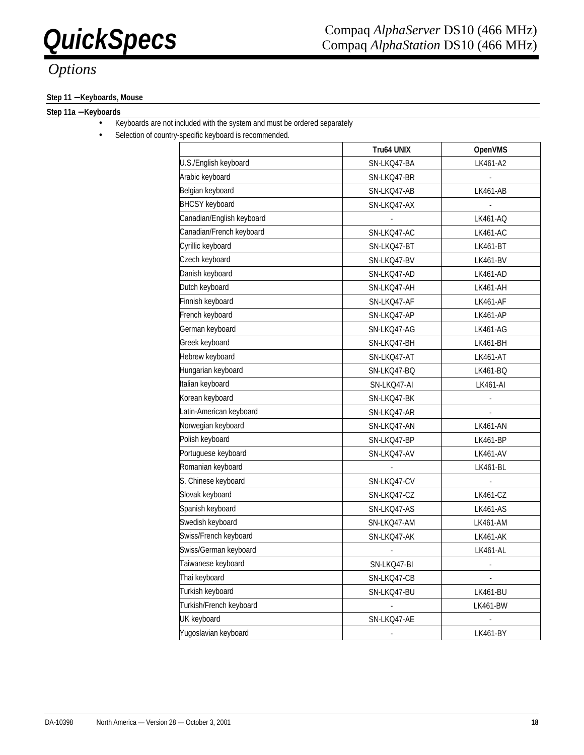## *QuickSpecs* Compaq *AlphaServer* DS10 (466 MHz)<br>Compaq *AlphaStation* DS10 (466 MHz) Compaq *AlphaStation* DS10 (466 MHz)

### **Step 11** − **Keyboards, Mouse**

### **Step 11a** − **Keyboards**

- Keyboards are not included with the system and must be ordered separately
	- Selection of country-specific keyboard is recommended.

|                           | Tru64 UNIX               | <b>OpenVMS</b>           |
|---------------------------|--------------------------|--------------------------|
| U.S./English keyboard     | SN-LKQ47-BA              | LK461-A2                 |
| Arabic keyboard           | SN-LKQ47-BR              |                          |
| Belgian keyboard          | SN-LKQ47-AB              | LK461-AB                 |
| <b>BHCSY</b> keyboard     | SN-LKQ47-AX              |                          |
| Canadian/English keyboard | ÷                        | LK461-AQ                 |
| Canadian/French keyboard  | SN-LKQ47-AC              | <b>LK461-AC</b>          |
| Cyrillic keyboard         | SN-LKQ47-BT              | LK461-BT                 |
| Czech keyboard            | SN-LKQ47-BV              | <b>LK461-BV</b>          |
| Danish keyboard           | SN-LKQ47-AD              | LK461-AD                 |
| Dutch keyboard            | SN-LKQ47-AH              | LK461-AH                 |
| Finnish keyboard          | SN-LKQ47-AF              | <b>LK461-AF</b>          |
| French keyboard           | SN-LKQ47-AP              | LK461-AP                 |
| German keyboard           | SN-LKQ47-AG              | LK461-AG                 |
| Greek keyboard            | SN-LKQ47-BH              | LK461-BH                 |
| Hebrew keyboard           | SN-LKQ47-AT              | <b>LK461-AT</b>          |
| Hungarian keyboard        | SN-LKQ47-BQ              | LK461-BQ                 |
| Italian keyboard          | SN-LKQ47-AI              | LK461-AI                 |
| Korean keyboard           | SN-LKQ47-BK              | $\Box$                   |
| Latin-American keyboard   | SN-LKQ47-AR              | $\overline{\phantom{a}}$ |
| Norwegian keyboard        | SN-LKQ47-AN              | <b>LK461-AN</b>          |
| Polish keyboard           | SN-LKQ47-BP              | <b>LK461-BP</b>          |
| Portuguese keyboard       | SN-LKQ47-AV              | LK461-AV                 |
| Romanian keyboard         |                          | LK461-BL                 |
| S. Chinese keyboard       | SN-LKQ47-CV              |                          |
| Slovak keyboard           | SN-LKQ47-CZ              | <b>LK461-CZ</b>          |
| Spanish keyboard          | SN-LKQ47-AS              | <b>LK461-AS</b>          |
| Swedish keyboard          | SN-LKQ47-AM              | LK461-AM                 |
| Swiss/French keyboard     | SN-LKQ47-AK              | LK461-AK                 |
| Swiss/German keyboard     | $\overline{\phantom{a}}$ | LK461-AL                 |
| Taiwanese keyboard        | SN-LKQ47-BI              | $\blacksquare$           |
| Thai keyboard             | SN-LKQ47-CB              | $\overline{\phantom{a}}$ |
| Turkish keyboard          | SN-LKQ47-BU              | <b>LK461-BU</b>          |
| Turkish/French keyboard   |                          | <b>LK461-BW</b>          |
| UK keyboard               | SN-LKQ47-AE              |                          |
| Yugoslavian keyboard      |                          | LK461-BY                 |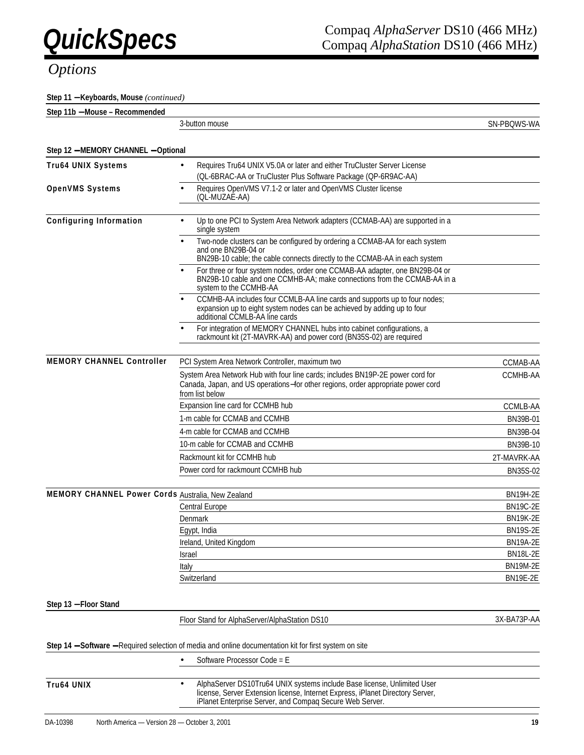**Step 11** − **Keyboards, Mouse** *(continued)*

| Step<br>11 h<br>· Recommended<br>. 1b – Mouse – ' |               |                                  |
|---------------------------------------------------|---------------|----------------------------------|
|                                                   | -button mouse | S-WA<br>PBC<br>SN-<br>$.$ ) $W'$ |

| Step 12 - MEMORY CHANNEL - Optional               |                                                                                                                                                                                                                                    |                 |  |
|---------------------------------------------------|------------------------------------------------------------------------------------------------------------------------------------------------------------------------------------------------------------------------------------|-----------------|--|
| <b>Tru64 UNIX Systems</b>                         | Requires Tru64 UNIX V5.0A or later and either TruCluster Server License                                                                                                                                                            |                 |  |
|                                                   | (QL-6BRAC-AA or TruCluster Plus Software Package (QP-6R9AC-AA)                                                                                                                                                                     |                 |  |
| <b>OpenVMS Systems</b>                            | Requires OpenVMS V7.1-2 or later and OpenVMS Cluster license<br>$\bullet$<br>(QL-MUZAE-AA)                                                                                                                                         |                 |  |
| <b>Configuring Information</b>                    | Up to one PCI to System Area Network adapters (CCMAB-AA) are supported in a<br>$\bullet$<br>single system                                                                                                                          |                 |  |
|                                                   | Two-node clusters can be configured by ordering a CCMAB-AA for each system<br>$\bullet$<br>and one BN29B-04 or<br>BN29B-10 cable; the cable connects directly to the CCMAB-AA in each system                                       |                 |  |
|                                                   | For three or four system nodes, order one CCMAB-AA adapter, one BN29B-04 or<br>$\bullet$<br>BN29B-10 cable and one CCMHB-AA; make connections from the CCMAB-AA in a<br>system to the CCMHB-AA                                     |                 |  |
|                                                   | CCMHB-AA includes four CCMLB-AA line cards and supports up to four nodes;<br>expansion up to eight system nodes can be achieved by adding up to four<br>additional CCMLB-AA line cards                                             |                 |  |
|                                                   | For integration of MEMORY CHANNEL hubs into cabinet configurations, a<br>rackmount kit (2T-MAVRK-AA) and power cord (BN35S-02) are required                                                                                        |                 |  |
| <b>MEMORY CHANNEL Controller</b>                  | PCI System Area Network Controller, maximum two                                                                                                                                                                                    | CCMAB-AA        |  |
|                                                   | System Area Network Hub with four line cards; includes BN19P-2E power cord for<br>Canada, Japan, and US operations-for other regions, order appropriate power cord<br>from list below                                              | CCMHB-AA        |  |
|                                                   | Expansion line card for CCMHB hub                                                                                                                                                                                                  | CCMLB-AA        |  |
|                                                   | 1-m cable for CCMAB and CCMHB                                                                                                                                                                                                      | BN39B-01        |  |
|                                                   | 4-m cable for CCMAB and CCMHB                                                                                                                                                                                                      | BN39B-04        |  |
|                                                   | 10-m cable for CCMAB and CCMHB                                                                                                                                                                                                     | BN39B-10        |  |
|                                                   | Rackmount kit for CCMHB hub                                                                                                                                                                                                        | 2T-MAVRK-AA     |  |
|                                                   | Power cord for rackmount CCMHB hub                                                                                                                                                                                                 | <b>BN35S-02</b> |  |
|                                                   |                                                                                                                                                                                                                                    |                 |  |
| MEMORY CHANNEL Power Cords Australia, New Zealand |                                                                                                                                                                                                                                    | <b>BN19H-2E</b> |  |
|                                                   | <b>Central Europe</b>                                                                                                                                                                                                              | <b>BN19C-2E</b> |  |
|                                                   | Denmark                                                                                                                                                                                                                            | <b>BN19K-2E</b> |  |
|                                                   | Egypt, India                                                                                                                                                                                                                       | <b>BN19S-2E</b> |  |
|                                                   | Ireland, United Kingdom                                                                                                                                                                                                            | <b>BN19A-2E</b> |  |
|                                                   | Israel                                                                                                                                                                                                                             | <b>BN18L-2E</b> |  |
|                                                   | Italy                                                                                                                                                                                                                              | <b>BN19M-2E</b> |  |
|                                                   | Switzerland                                                                                                                                                                                                                        | <b>BN19E-2E</b> |  |
| Step 13 - Floor Stand                             |                                                                                                                                                                                                                                    |                 |  |
|                                                   | Floor Stand for AlphaServer/AlphaStation DS10                                                                                                                                                                                      | 3X-BA73P-AA     |  |
|                                                   | Step 14 - Software - Required selection of media and online documentation kit for first system on site                                                                                                                             |                 |  |
|                                                   | Software Processor Code = E                                                                                                                                                                                                        |                 |  |
| Tru64 UNIX                                        | AlphaServer DS10Tru64 UNIX systems include Base license, Unlimited User<br>$\bullet$<br>license, Server Extension license, Internet Express, iPlanet Directory Server,<br>iPlanet Enterprise Server, and Compaq Secure Web Server. |                 |  |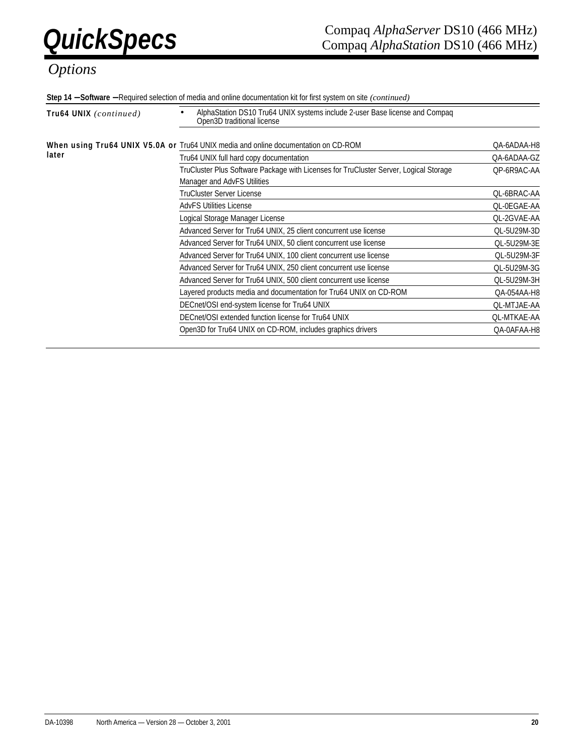**Step 14** − **Software** − Required selection of media and online documentation kit for first system on site *(continued)*

| Tru64 UNIX (continued) | AlphaStation DS10 Tru64 UNIX systems include 2-user Base license and Compaq<br>Open3D traditional license            |                    |  |  |
|------------------------|----------------------------------------------------------------------------------------------------------------------|--------------------|--|--|
|                        | When using Tru64 UNIX V5.0A or Tru64 UNIX media and online documentation on CD-ROM                                   | QA-6ADAA-H8        |  |  |
| later                  | Tru64 UNIX full hard copy documentation                                                                              | QA-6ADAA-GZ        |  |  |
|                        | TruCluster Plus Software Package with Licenses for TruCluster Server, Logical Storage<br>Manager and AdvFS Utilities | QP-6R9AC-AA        |  |  |
|                        | TruCluster Server License                                                                                            | QL-6BRAC-AA        |  |  |
|                        | <b>AdvFS Utilities License</b>                                                                                       | QL-0EGAE-AA        |  |  |
|                        | Logical Storage Manager License                                                                                      | QL-2GVAE-AA        |  |  |
|                        | Advanced Server for Tru64 UNIX, 25 client concurrent use license                                                     | QL-5U29M-3D        |  |  |
|                        | Advanced Server for Tru64 UNIX, 50 client concurrent use license                                                     | QL-5U29M-3E        |  |  |
|                        | Advanced Server for Tru64 UNIX, 100 client concurrent use license                                                    | QL-5U29M-3F        |  |  |
|                        | Advanced Server for Tru64 UNIX, 250 client concurrent use license                                                    | QL-5U29M-3G        |  |  |
|                        | Advanced Server for Tru64 UNIX, 500 client concurrent use license                                                    | QL-5U29M-3H        |  |  |
|                        | Layered products media and documentation for Tru64 UNIX on CD-ROM                                                    | QA-054AA-H8        |  |  |
|                        | DECnet/OSI end-system license for Tru64 UNIX                                                                         | <b>QL-MTJAE-AA</b> |  |  |
|                        | DECnet/OSI extended function license for Tru64 UNIX                                                                  | <b>QL-MTKAE-AA</b> |  |  |
|                        | Open3D for Tru64 UNIX on CD-ROM, includes graphics drivers                                                           | QA-0AFAA-H8        |  |  |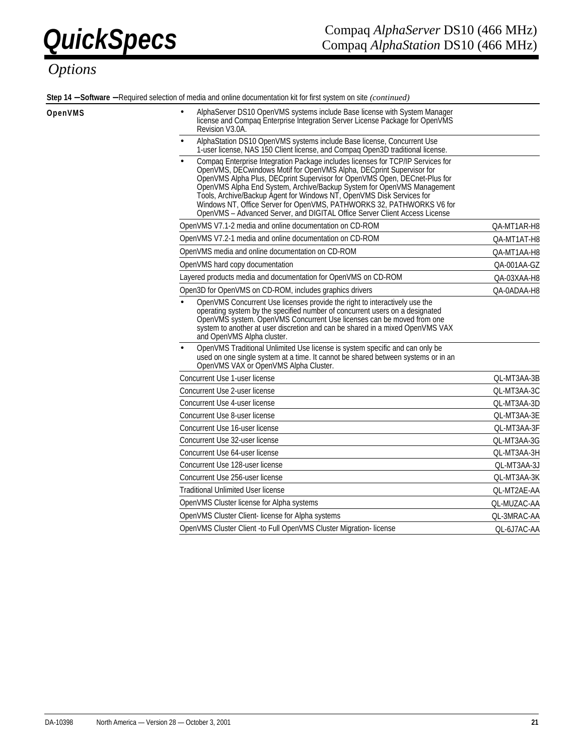**Step 14** − **Software** − Required selection of media and online documentation kit for first system on site *(continued)*

### *Options*

| OpenVMS | AlphaServer DS10 OpenVMS systems include Base license with System Manager<br>license and Compaq Enterprise Integration Server License Package for OpenVMS<br>Revision V3.0A.                                                                                                                                                                                                                                                                                                                                                                   |             |
|---------|------------------------------------------------------------------------------------------------------------------------------------------------------------------------------------------------------------------------------------------------------------------------------------------------------------------------------------------------------------------------------------------------------------------------------------------------------------------------------------------------------------------------------------------------|-------------|
|         | AlphaStation DS10 OpenVMS systems include Base license, Concurrent Use<br>1-user license, NAS 150 Client license, and Compaq Open3D traditional license.                                                                                                                                                                                                                                                                                                                                                                                       |             |
|         | Compaq Enterprise Integration Package includes licenses for TCP/IP Services for<br>OpenVMS, DECwindows Motif for OpenVMS Alpha, DECprint Supervisor for<br>OpenVMS Alpha Plus, DECprint Supervisor for OpenVMS Open, DECnet-Plus for<br>OpenVMS Alpha End System, Archive/Backup System for OpenVMS Management<br>Tools, Archive/Backup Agent for Windows NT, OpenVMS Disk Services for<br>Windows NT, Office Server for OpenVMS, PATHWORKS 32, PATHWORKS V6 for<br>OpenVMS - Advanced Server, and DIGITAL Office Server Client Access License |             |
|         | OpenVMS V7.1-2 media and online documentation on CD-ROM                                                                                                                                                                                                                                                                                                                                                                                                                                                                                        | QA-MT1AR-H8 |
|         | OpenVMS V7.2-1 media and online documentation on CD-ROM                                                                                                                                                                                                                                                                                                                                                                                                                                                                                        | QA-MT1AT-H8 |
|         | OpenVMS media and online documentation on CD-ROM                                                                                                                                                                                                                                                                                                                                                                                                                                                                                               | QA-MT1AA-H8 |
|         | OpenVMS hard copy documentation                                                                                                                                                                                                                                                                                                                                                                                                                                                                                                                | QA-001AA-GZ |
|         | Layered products media and documentation for OpenVMS on CD-ROM                                                                                                                                                                                                                                                                                                                                                                                                                                                                                 | QA-03XAA-H8 |
|         | Open3D for OpenVMS on CD-ROM, includes graphics drivers                                                                                                                                                                                                                                                                                                                                                                                                                                                                                        | QA-0ADAA-H8 |
|         | OpenVMS Concurrent Use licenses provide the right to interactively use the<br>operating system by the specified number of concurrent users on a designated<br>OpenVMS system. OpenVMS Concurrent Use licenses can be moved from one<br>system to another at user discretion and can be shared in a mixed OpenVMS VAX<br>and OpenVMS Alpha cluster.                                                                                                                                                                                             |             |
|         | OpenVMS Traditional Unlimited Use license is system specific and can only be<br>used on one single system at a time. It cannot be shared between systems or in an<br>OpenVMS VAX or OpenVMS Alpha Cluster.                                                                                                                                                                                                                                                                                                                                     |             |
|         | Concurrent Use 1-user license                                                                                                                                                                                                                                                                                                                                                                                                                                                                                                                  | QL-MT3AA-3B |
|         | Concurrent Use 2-user license                                                                                                                                                                                                                                                                                                                                                                                                                                                                                                                  | QL-MT3AA-3C |
|         | Concurrent Use 4-user license                                                                                                                                                                                                                                                                                                                                                                                                                                                                                                                  | QL-MT3AA-3D |
|         | Concurrent Use 8-user license                                                                                                                                                                                                                                                                                                                                                                                                                                                                                                                  | QL-MT3AA-3E |
|         | Concurrent Use 16-user license                                                                                                                                                                                                                                                                                                                                                                                                                                                                                                                 | QL-MT3AA-3F |
|         | Concurrent Use 32-user license                                                                                                                                                                                                                                                                                                                                                                                                                                                                                                                 | QL-MT3AA-3G |
|         | Concurrent Use 64-user license                                                                                                                                                                                                                                                                                                                                                                                                                                                                                                                 | QL-MT3AA-3H |
|         | Concurrent Use 128-user license                                                                                                                                                                                                                                                                                                                                                                                                                                                                                                                | QL-MT3AA-3J |
|         | Concurrent Use 256-user license                                                                                                                                                                                                                                                                                                                                                                                                                                                                                                                | QL-MT3AA-3K |
|         | <b>Traditional Unlimited User license</b>                                                                                                                                                                                                                                                                                                                                                                                                                                                                                                      | QL-MT2AE-AA |
|         | OpenVMS Cluster license for Alpha systems                                                                                                                                                                                                                                                                                                                                                                                                                                                                                                      | QL-MUZAC-AA |
|         | OpenVMS Cluster Client- license for Alpha systems                                                                                                                                                                                                                                                                                                                                                                                                                                                                                              | QL-3MRAC-AA |
|         | OpenVMS Cluster Client -to Full OpenVMS Cluster Migration- license                                                                                                                                                                                                                                                                                                                                                                                                                                                                             | QL-6J7AC-AA |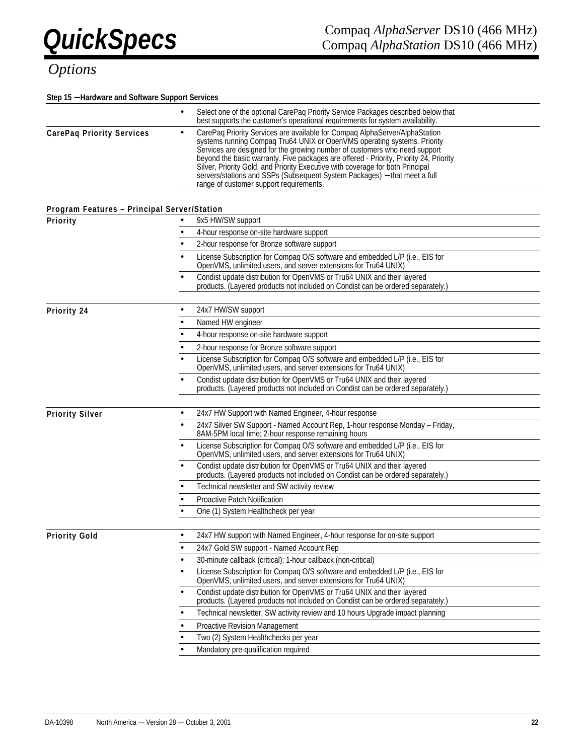### **Step 15** − **Hardware and Software Support Services**

|                                             | Select one of the optional CarePaq Priority Service Packages described below that<br>$\bullet$<br>best supports the customer's operational requirements for system availability.                                                                                                                                                                                                                                                                                                                                                                       |  |  |  |  |  |
|---------------------------------------------|--------------------------------------------------------------------------------------------------------------------------------------------------------------------------------------------------------------------------------------------------------------------------------------------------------------------------------------------------------------------------------------------------------------------------------------------------------------------------------------------------------------------------------------------------------|--|--|--|--|--|
| <b>CarePaq Priority Services</b>            | CarePaq Priority Services are available for Compaq AlphaServer/AlphaStation<br>$\bullet$<br>systems running Compaq Tru64 UNIX or OpenVMS operating systems. Priority<br>Services are designed for the growing number of customers who need support<br>beyond the basic warranty. Five packages are offered - Priority, Priority 24, Priority<br>Silver, Priority Gold, and Priority Executive with coverage for both Principal<br>servers/stations and SSPs (Subsequent System Packages) - that meet a full<br>range of customer support requirements. |  |  |  |  |  |
| Program Features - Principal Server/Station |                                                                                                                                                                                                                                                                                                                                                                                                                                                                                                                                                        |  |  |  |  |  |
| Priority                                    | 9x5 HW/SW support                                                                                                                                                                                                                                                                                                                                                                                                                                                                                                                                      |  |  |  |  |  |
|                                             | 4-hour response on-site hardware support<br>$\bullet$                                                                                                                                                                                                                                                                                                                                                                                                                                                                                                  |  |  |  |  |  |
|                                             | 2-hour response for Bronze software support                                                                                                                                                                                                                                                                                                                                                                                                                                                                                                            |  |  |  |  |  |
|                                             | License Subscription for Compaq O/S software and embedded L/P (i.e., EIS for OpenVMS, unlimited users, and server extensions for Tru64 UNIX)                                                                                                                                                                                                                                                                                                                                                                                                           |  |  |  |  |  |
|                                             | Condist update distribution for OpenVMS or Tru64 UNIX and their layered<br>products. (Layered products not included on Condist can be ordered separately.)                                                                                                                                                                                                                                                                                                                                                                                             |  |  |  |  |  |
| Priority 24                                 | 24x7 HW/SW support<br>٠                                                                                                                                                                                                                                                                                                                                                                                                                                                                                                                                |  |  |  |  |  |
|                                             | Named HW engineer                                                                                                                                                                                                                                                                                                                                                                                                                                                                                                                                      |  |  |  |  |  |
|                                             | 4-hour response on-site hardware support                                                                                                                                                                                                                                                                                                                                                                                                                                                                                                               |  |  |  |  |  |
|                                             | 2-hour response for Bronze software support                                                                                                                                                                                                                                                                                                                                                                                                                                                                                                            |  |  |  |  |  |
|                                             | License Subscription for Compaq O/S software and embedded L/P (i.e., EIS for<br>OpenVMS, unlimited users, and server extensions for Tru64 UNIX)                                                                                                                                                                                                                                                                                                                                                                                                        |  |  |  |  |  |
|                                             | Condist update distribution for OpenVMS or Tru64 UNIX and their layered<br>products. (Layered products not included on Condist can be ordered separately.)                                                                                                                                                                                                                                                                                                                                                                                             |  |  |  |  |  |
| <b>Priority Silver</b>                      | 24x7 HW Support with Named Engineer, 4-hour response                                                                                                                                                                                                                                                                                                                                                                                                                                                                                                   |  |  |  |  |  |
|                                             | 24x7 Silver SW Support - Named Account Rep, 1-hour response Monday - Friday,                                                                                                                                                                                                                                                                                                                                                                                                                                                                           |  |  |  |  |  |
|                                             | 8AM-5PM local time; 2-hour response remaining hours                                                                                                                                                                                                                                                                                                                                                                                                                                                                                                    |  |  |  |  |  |
|                                             | License Subscription for Compaq O/S software and embedded L/P (i.e., EIS for<br>OpenVMS, unlimited users, and server extensions for Tru64 UNIX)                                                                                                                                                                                                                                                                                                                                                                                                        |  |  |  |  |  |
|                                             | Condist update distribution for OpenVMS or Tru64 UNIX and their layered<br>products. (Layered products not included on Condist can be ordered separately.)                                                                                                                                                                                                                                                                                                                                                                                             |  |  |  |  |  |
|                                             | Technical newsletter and SW activity review                                                                                                                                                                                                                                                                                                                                                                                                                                                                                                            |  |  |  |  |  |
|                                             | <b>Proactive Patch Notification</b>                                                                                                                                                                                                                                                                                                                                                                                                                                                                                                                    |  |  |  |  |  |
|                                             | One (1) System Healthcheck per year                                                                                                                                                                                                                                                                                                                                                                                                                                                                                                                    |  |  |  |  |  |
| <b>Priority Gold</b>                        | 24x7 HW support with Named Engineer, 4-hour response for on-site support                                                                                                                                                                                                                                                                                                                                                                                                                                                                               |  |  |  |  |  |
|                                             | 24x7 Gold SW support - Named Account Rep                                                                                                                                                                                                                                                                                                                                                                                                                                                                                                               |  |  |  |  |  |
|                                             | 30-minute callback (critical); 1-hour callback (non-critical)                                                                                                                                                                                                                                                                                                                                                                                                                                                                                          |  |  |  |  |  |
|                                             | License Subscription for Compaq O/S software and embedded L/P (i.e., EIS for<br>OpenVMS, unlimited users, and server extensions for Tru64 UNIX)                                                                                                                                                                                                                                                                                                                                                                                                        |  |  |  |  |  |
|                                             | Condist update distribution for OpenVMS or Tru64 UNIX and their layered<br>products. (Layered products not included on Condist can be ordered separately.)                                                                                                                                                                                                                                                                                                                                                                                             |  |  |  |  |  |
|                                             | Technical newsletter, SW activity review and 10 hours Upgrade impact planning                                                                                                                                                                                                                                                                                                                                                                                                                                                                          |  |  |  |  |  |
|                                             | Proactive Revision Management                                                                                                                                                                                                                                                                                                                                                                                                                                                                                                                          |  |  |  |  |  |
|                                             | Two (2) System Healthchecks per year                                                                                                                                                                                                                                                                                                                                                                                                                                                                                                                   |  |  |  |  |  |
|                                             | Mandatory pre-qualification required                                                                                                                                                                                                                                                                                                                                                                                                                                                                                                                   |  |  |  |  |  |
|                                             |                                                                                                                                                                                                                                                                                                                                                                                                                                                                                                                                                        |  |  |  |  |  |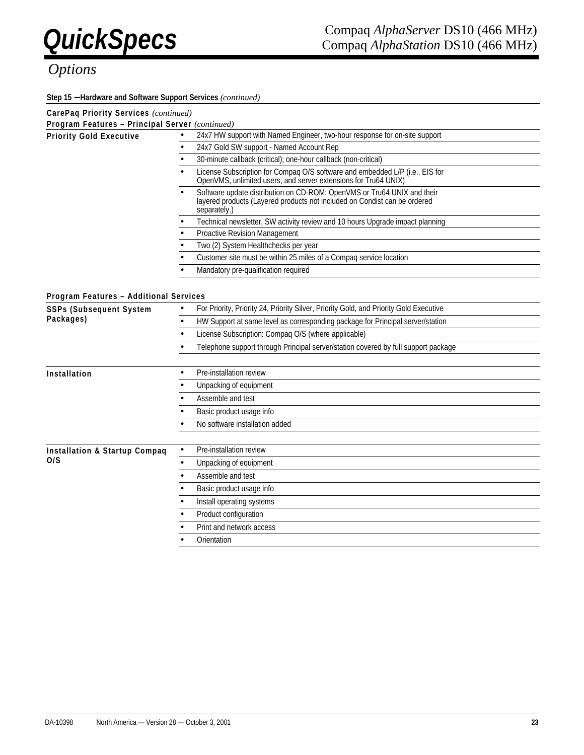**Step 15** − **Hardware and Software Support Services** *(continued)*

| CarePaq Priority Services (continued)           |                                                                                                                                                                      |  |  |  |  |  |
|-------------------------------------------------|----------------------------------------------------------------------------------------------------------------------------------------------------------------------|--|--|--|--|--|
| Program Features - Principal Server (continued) |                                                                                                                                                                      |  |  |  |  |  |
| <b>Priority Gold Executive</b>                  | 24x7 HW support with Named Engineer, two-hour response for on-site support                                                                                           |  |  |  |  |  |
|                                                 | 24x7 Gold SW support - Named Account Rep                                                                                                                             |  |  |  |  |  |
|                                                 | 30-minute callback (critical); one-hour callback (non-critical)                                                                                                      |  |  |  |  |  |
|                                                 | License Subscription for Compaq O/S software and embedded L/P (i.e., EIS for OpenVMS, unlimited users, and server extensions for Tru64 UNIX)                         |  |  |  |  |  |
|                                                 | Software update distribution on CD-ROM: OpenVMS or Tru64 UNIX and their<br>layered products (Layered products not included on Condist can be ordered<br>separately.) |  |  |  |  |  |
|                                                 | Technical newsletter, SW activity review and 10 hours Upgrade impact planning                                                                                        |  |  |  |  |  |
|                                                 | Proactive Revision Management                                                                                                                                        |  |  |  |  |  |
|                                                 | Two (2) System Healthchecks per year                                                                                                                                 |  |  |  |  |  |
|                                                 | Customer site must be within 25 miles of a Compaq service location                                                                                                   |  |  |  |  |  |
|                                                 | Mandatory pre-qualification required                                                                                                                                 |  |  |  |  |  |
|                                                 |                                                                                                                                                                      |  |  |  |  |  |
| Program Features - Additional Services          |                                                                                                                                                                      |  |  |  |  |  |
| <b>SSPs (Subsequent System</b>                  | For Priority, Priority 24, Priority Silver, Priority Gold, and Priority Gold Executive<br>$\bullet$                                                                  |  |  |  |  |  |
| Packages)                                       | HW Support at same level as corresponding package for Principal server/station                                                                                       |  |  |  |  |  |
|                                                 | License Subscription: Compag O/S (where applicable)                                                                                                                  |  |  |  |  |  |
|                                                 | Telephone support through Principal server/station covered by full support package                                                                                   |  |  |  |  |  |
|                                                 |                                                                                                                                                                      |  |  |  |  |  |
| Installation                                    | Pre-installation review                                                                                                                                              |  |  |  |  |  |
|                                                 | Unpacking of equipment                                                                                                                                               |  |  |  |  |  |
|                                                 | Assemble and test                                                                                                                                                    |  |  |  |  |  |
|                                                 | Basic product usage info                                                                                                                                             |  |  |  |  |  |
|                                                 | No software installation added                                                                                                                                       |  |  |  |  |  |
|                                                 |                                                                                                                                                                      |  |  |  |  |  |
| <b>Installation &amp; Startup Compaq</b>        | Pre-installation review<br>$\bullet$                                                                                                                                 |  |  |  |  |  |
| 0/S                                             | Unpacking of equipment<br>$\bullet$                                                                                                                                  |  |  |  |  |  |
|                                                 | Assemble and test                                                                                                                                                    |  |  |  |  |  |
|                                                 | Basic product usage info                                                                                                                                             |  |  |  |  |  |
|                                                 | Install operating systems                                                                                                                                            |  |  |  |  |  |
|                                                 | Product configuration                                                                                                                                                |  |  |  |  |  |
|                                                 | Print and network access                                                                                                                                             |  |  |  |  |  |
|                                                 | Orientation                                                                                                                                                          |  |  |  |  |  |
|                                                 |                                                                                                                                                                      |  |  |  |  |  |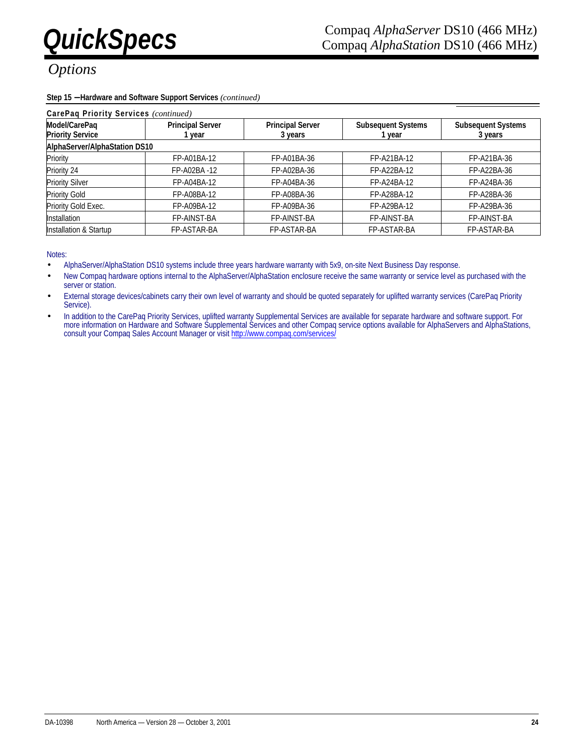### **Step 15** − **Hardware and Software Support Services** *(continued)*

| CarePaq Priority Services (continued)    |                                 |                                                                           |             |                                      |  |  |
|------------------------------------------|---------------------------------|---------------------------------------------------------------------------|-------------|--------------------------------------|--|--|
| Model/CarePaq<br><b>Priority Service</b> | <b>Principal Server</b><br>vear | <b>Principal Server</b><br><b>Subsequent Systems</b><br>3 years<br>1 year |             | <b>Subsequent Systems</b><br>3 years |  |  |
| AlphaServer/AlphaStation DS10            |                                 |                                                                           |             |                                      |  |  |
| Priority                                 | FP-A01BA-12                     | FP-A01BA-36                                                               | FP-A21BA-12 | FP-A21BA-36                          |  |  |
| Priority 24                              | FP-A02BA-12                     | FP-A02BA-36                                                               | FP-A22BA-12 | FP-A22BA-36                          |  |  |
| <b>Priority Silver</b>                   | FP-A04BA-12                     | FP-A04BA-36                                                               | FP-A24BA-12 | FP-A24BA-36                          |  |  |
| <b>Priority Gold</b>                     | FP-A08BA-12                     | FP-A08BA-36                                                               | FP-A28BA-12 | FP-A28BA-36                          |  |  |
| Priority Gold Exec.                      | FP-A09BA-12                     | FP-A09BA-36                                                               | FP-A29BA-12 | FP-A29BA-36                          |  |  |
| <b>Installation</b>                      | FP-AINST-BA                     | FP-AINST-BA                                                               | FP-AINST-BA | FP-AINST-BA                          |  |  |
| Installation & Startup                   | FP-ASTAR-BA                     | FP-ASTAR-BA                                                               | FP-ASTAR-BA | FP-ASTAR-BA                          |  |  |

Notes:

- AlphaServer/AlphaStation DS10 systems include three years hardware warranty with 5x9, on-site Next Business Day response.
- New Compaq hardware options internal to the AlphaServer/AlphaStation enclosure receive the same warranty or service level as purchased with the server or station.
- External storage devices/cabinets carry their own level of warranty and should be quoted separately for uplifted warranty services (CarePaq Priority Service).
- In addition to the CarePaq Priority Services, uplifted warranty Supplemental Services are available for separate hardware and software support. For more information on Hardware and Software Supplemental Services and other Compaq service options available for AlphaServers and AlphaStations, consult your Compaq Sales Account Manager or visit http://www.compaq.com/services/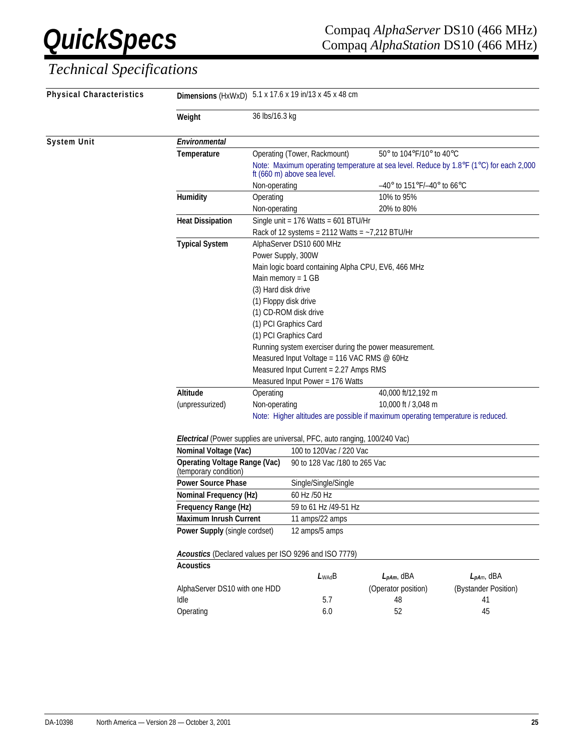# *Technical Specifications*

| Physical Characteristics | Dimensions (HxWxD) 5.1 x 17.6 x 19 in/13 x 45 x 48 cm         |                                                                                                       |                                                     |                                                                                        |                      |  |  |
|--------------------------|---------------------------------------------------------------|-------------------------------------------------------------------------------------------------------|-----------------------------------------------------|----------------------------------------------------------------------------------------|----------------------|--|--|
|                          | Weight                                                        | 36 lbs/16.3 kg                                                                                        |                                                     |                                                                                        |                      |  |  |
| <b>System Unit</b>       | Environmental                                                 |                                                                                                       |                                                     |                                                                                        |                      |  |  |
|                          | Temperature                                                   |                                                                                                       | Operating (Tower, Rackmount)                        | 50° to 104°F/10° to 40°C                                                               |                      |  |  |
|                          |                                                               |                                                                                                       | ft (660 m) above sea level.                         | Note: Maximum operating temperature at sea level. Reduce by 1.8°F (1°C) for each 2,000 |                      |  |  |
|                          |                                                               | Non-operating                                                                                         |                                                     | $-40^{\circ}$ to 151°F/-40° to 66°C                                                    |                      |  |  |
|                          | Humidity                                                      | Operating                                                                                             |                                                     | 10% to 95%                                                                             |                      |  |  |
|                          |                                                               | Non-operating                                                                                         |                                                     | 20% to 80%                                                                             |                      |  |  |
|                          | <b>Heat Dissipation</b>                                       | Single unit = $176$ Watts = $601$ BTU/Hr                                                              |                                                     |                                                                                        |                      |  |  |
|                          |                                                               |                                                                                                       | Rack of 12 systems = $2112$ Watts = $-7,212$ BTU/Hr |                                                                                        |                      |  |  |
|                          | <b>Typical System</b>                                         |                                                                                                       | AlphaServer DS10 600 MHz                            |                                                                                        |                      |  |  |
|                          |                                                               | Power Supply, 300W                                                                                    |                                                     |                                                                                        |                      |  |  |
|                          |                                                               |                                                                                                       | Main logic board containing Alpha CPU, EV6, 466 MHz |                                                                                        |                      |  |  |
|                          |                                                               | Main memory = $1 GB$                                                                                  |                                                     |                                                                                        |                      |  |  |
|                          |                                                               | (3) Hard disk drive                                                                                   |                                                     |                                                                                        |                      |  |  |
|                          |                                                               | (1) Floppy disk drive                                                                                 |                                                     |                                                                                        |                      |  |  |
|                          |                                                               |                                                                                                       | (1) CD-ROM disk drive                               |                                                                                        |                      |  |  |
|                          |                                                               | (1) PCI Graphics Card                                                                                 |                                                     |                                                                                        |                      |  |  |
|                          |                                                               | (1) PCI Graphics Card                                                                                 |                                                     |                                                                                        |                      |  |  |
|                          |                                                               | Running system exerciser during the power measurement.<br>Measured Input Voltage = 116 VAC RMS @ 60Hz |                                                     |                                                                                        |                      |  |  |
|                          |                                                               |                                                                                                       |                                                     |                                                                                        |                      |  |  |
|                          |                                                               |                                                                                                       | Measured Input Current = 2.27 Amps RMS              |                                                                                        |                      |  |  |
|                          | Altitude                                                      |                                                                                                       | Measured Input Power = 176 Watts                    |                                                                                        |                      |  |  |
|                          | (unpressurized)                                               | Operating                                                                                             |                                                     | 40,000 ft/12,192 m<br>10,000 ft / 3,048 m                                              |                      |  |  |
|                          |                                                               | Non-operating<br>Note: Higher altitudes are possible if maximum operating temperature is reduced.     |                                                     |                                                                                        |                      |  |  |
|                          |                                                               | Electrical (Power supplies are universal, PFC, auto ranging, 100/240 Vac)                             |                                                     |                                                                                        |                      |  |  |
|                          |                                                               |                                                                                                       |                                                     |                                                                                        |                      |  |  |
|                          | Nominal Voltage (Vac)                                         |                                                                                                       | 100 to 120Vac / 220 Vac                             |                                                                                        |                      |  |  |
|                          | <b>Operating Voltage Range (Vac)</b><br>(temporary condition) |                                                                                                       | 90 to 128 Vac /180 to 265 Vac                       |                                                                                        |                      |  |  |
|                          | <b>Power Source Phase</b>                                     |                                                                                                       | Single/Single/Single                                |                                                                                        |                      |  |  |
|                          | Nominal Frequency (Hz)                                        |                                                                                                       | 60 Hz /50 Hz                                        |                                                                                        |                      |  |  |
|                          | Frequency Range (Hz)                                          |                                                                                                       | 59 to 61 Hz /49-51 Hz                               |                                                                                        |                      |  |  |
|                          | <b>Maximum Inrush Current</b>                                 |                                                                                                       | 11 amps/22 amps                                     |                                                                                        |                      |  |  |
|                          | Power Supply (single cordset)                                 |                                                                                                       | 12 amps/5 amps                                      |                                                                                        |                      |  |  |
|                          | Acoustics (Declared values per ISO 9296 and ISO 7779)         |                                                                                                       |                                                     |                                                                                        |                      |  |  |
|                          | <b>Acoustics</b>                                              |                                                                                                       |                                                     |                                                                                        |                      |  |  |
|                          |                                                               |                                                                                                       | $L_{WAd}B$                                          | $L_{pAm}$ , dBA                                                                        | $L_{pAm,}$ dBA       |  |  |
|                          | AlphaServer DS10 with one HDD                                 |                                                                                                       |                                                     | (Operator position)                                                                    | (Bystander Position) |  |  |
|                          | Idle                                                          |                                                                                                       | 5.7                                                 | 48                                                                                     | 41                   |  |  |